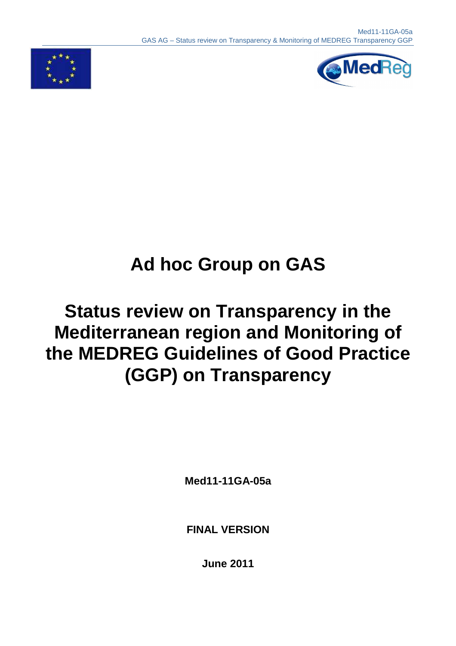



# **Ad hoc Group on GAS**

## **Status review on Transparency in the Mediterranean region and Monitoring of the MEDREG Guidelines of Good Practice (GGP) on Transparency**

**Med11-11GA-05a** 

**FINAL VERSION** 

**June 2011**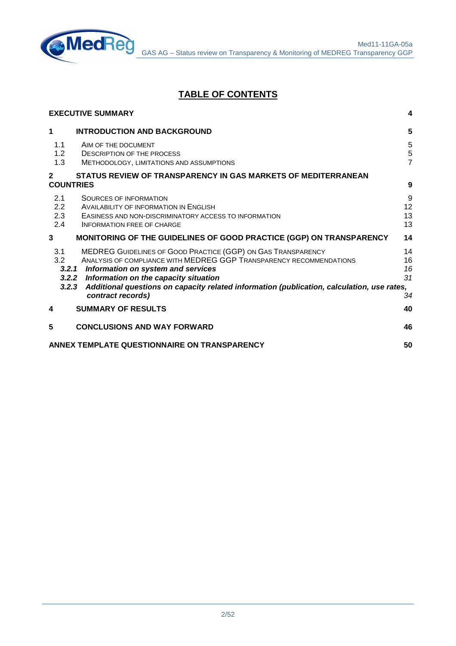

## **TABLE OF CONTENTS**

|                                  | <b>EXECUTIVE SUMMARY</b>                                                                                                                                                                                                                                                                                                                          | 4                                  |
|----------------------------------|---------------------------------------------------------------------------------------------------------------------------------------------------------------------------------------------------------------------------------------------------------------------------------------------------------------------------------------------------|------------------------------------|
| 1                                | <b>INTRODUCTION AND BACKGROUND</b>                                                                                                                                                                                                                                                                                                                | $5\phantom{1}$                     |
| 1.1<br>1.2<br>1.3                | AIM OF THE DOCUMENT<br><b>DESCRIPTION OF THE PROCESS</b><br>METHODOLOGY, LIMITATIONS AND ASSUMPTIONS                                                                                                                                                                                                                                              | 5<br>$\mathbf 5$<br>$\overline{7}$ |
| $\mathbf{2}$<br><b>COUNTRIES</b> | STATUS REVIEW OF TRANSPARENCY IN GAS MARKETS OF MEDITERRANEAN                                                                                                                                                                                                                                                                                     | 9                                  |
| 2.1<br>2.2<br>2.3<br>2.4         | <b>SOURCES OF INFORMATION</b><br>AVAILABILITY OF INFORMATION IN ENGLISH<br>EASINESS AND NON-DISCRIMINATORY ACCESS TO INFORMATION<br><b>INFORMATION FREE OF CHARGE</b>                                                                                                                                                                             | 9<br>12<br>13<br>13                |
| 3                                | MONITORING OF THE GUIDELINES OF GOOD PRACTICE (GGP) ON TRANSPARENCY                                                                                                                                                                                                                                                                               | 14                                 |
| 3.1<br>3.2<br>3.2.3              | MEDREG GUIDELINES OF GOOD PRACTICE (GGP) ON GAS TRANSPARENCY<br>ANALYSIS OF COMPLIANCE WITH MEDREG GGP TRANSPARENCY RECOMMENDATIONS<br>3.2.1 Information on system and services<br>3.2.2 Information on the capacity situation<br>Additional questions on capacity related information (publication, calculation, use rates,<br>contract records) | 14<br>16<br>16<br>31<br>34         |
| 4                                | <b>SUMMARY OF RESULTS</b>                                                                                                                                                                                                                                                                                                                         | 40                                 |
| 5                                | <b>CONCLUSIONS AND WAY FORWARD</b>                                                                                                                                                                                                                                                                                                                | 46                                 |
|                                  | ANNEX TEMPLATE QUESTIONNAIRE ON TRANSPARENCY                                                                                                                                                                                                                                                                                                      | 50                                 |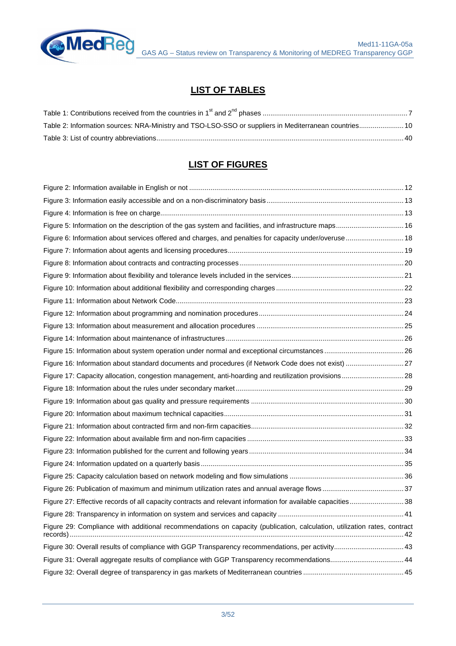

## **LIST OF TABLES**

| Table 2: Information sources: NRA-Ministry and TSO-LSO-SSO or suppliers in Mediterranean countries 10 |  |
|-------------------------------------------------------------------------------------------------------|--|
|                                                                                                       |  |

## **LIST OF FIGURES**

| Figure 5: Information on the description of the gas system and facilities, and infrastructure maps 16                    |  |
|--------------------------------------------------------------------------------------------------------------------------|--|
| Figure 6: Information about services offered and charges, and penalties for capacity under/overuse 18                    |  |
|                                                                                                                          |  |
|                                                                                                                          |  |
|                                                                                                                          |  |
|                                                                                                                          |  |
|                                                                                                                          |  |
|                                                                                                                          |  |
|                                                                                                                          |  |
|                                                                                                                          |  |
|                                                                                                                          |  |
|                                                                                                                          |  |
| Figure 17: Capacity allocation, congestion management, anti-hoarding and reutilization provisions 28                     |  |
|                                                                                                                          |  |
|                                                                                                                          |  |
|                                                                                                                          |  |
|                                                                                                                          |  |
|                                                                                                                          |  |
|                                                                                                                          |  |
|                                                                                                                          |  |
|                                                                                                                          |  |
|                                                                                                                          |  |
| Figure 27: Effective records of all capacity contracts and relevant information for available capacities 38              |  |
|                                                                                                                          |  |
| Figure 29: Compliance with additional recommendations on capacity (publication, calculation, utilization rates, contract |  |
| Figure 30: Overall results of compliance with GGP Transparency recommendations, per activity 43                          |  |
| Figure 31: Overall aggregate results of compliance with GGP Transparency recommendations44                               |  |
|                                                                                                                          |  |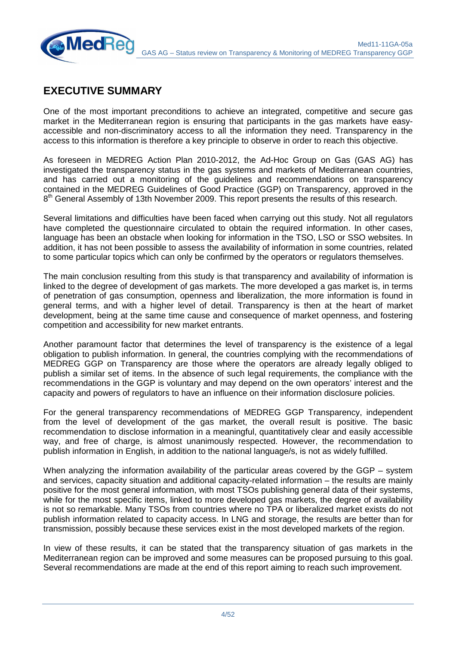

## **EXECUTIVE SUMMARY**

One of the most important preconditions to achieve an integrated, competitive and secure gas market in the Mediterranean region is ensuring that participants in the gas markets have easyaccessible and non-discriminatory access to all the information they need. Transparency in the access to this information is therefore a key principle to observe in order to reach this objective.

As foreseen in MEDREG Action Plan 2010-2012, the Ad-Hoc Group on Gas (GAS AG) has investigated the transparency status in the gas systems and markets of Mediterranean countries, and has carried out a monitoring of the guidelines and recommendations on transparency contained in the MEDREG Guidelines of Good Practice (GGP) on Transparency, approved in the 8<sup>th</sup> General Assembly of 13th November 2009. This report presents the results of this research.

Several limitations and difficulties have been faced when carrying out this study. Not all regulators have completed the questionnaire circulated to obtain the required information. In other cases, language has been an obstacle when looking for information in the TSO, LSO or SSO websites. In addition, it has not been possible to assess the availability of information in some countries, related to some particular topics which can only be confirmed by the operators or regulators themselves.

The main conclusion resulting from this study is that transparency and availability of information is linked to the degree of development of gas markets. The more developed a gas market is, in terms of penetration of gas consumption, openness and liberalization, the more information is found in general terms, and with a higher level of detail. Transparency is then at the heart of market development, being at the same time cause and consequence of market openness, and fostering competition and accessibility for new market entrants.

Another paramount factor that determines the level of transparency is the existence of a legal obligation to publish information. In general, the countries complying with the recommendations of MEDREG GGP on Transparency are those where the operators are already legally obliged to publish a similar set of items. In the absence of such legal requirements, the compliance with the recommendations in the GGP is voluntary and may depend on the own operators' interest and the capacity and powers of regulators to have an influence on their information disclosure policies.

For the general transparency recommendations of MEDREG GGP Transparency, independent from the level of development of the gas market, the overall result is positive. The basic recommendation to disclose information in a meaningful, quantitatively clear and easily accessible way, and free of charge, is almost unanimously respected. However, the recommendation to publish information in English, in addition to the national language/s, is not as widely fulfilled.

When analyzing the information availability of the particular areas covered by the GGP – system and services, capacity situation and additional capacity-related information – the results are mainly positive for the most general information, with most TSOs publishing general data of their systems, while for the most specific items, linked to more developed gas markets, the degree of availability is not so remarkable. Many TSOs from countries where no TPA or liberalized market exists do not publish information related to capacity access. In LNG and storage, the results are better than for transmission, possibly because these services exist in the most developed markets of the region.

In view of these results, it can be stated that the transparency situation of gas markets in the Mediterranean region can be improved and some measures can be proposed pursuing to this goal. Several recommendations are made at the end of this report aiming to reach such improvement.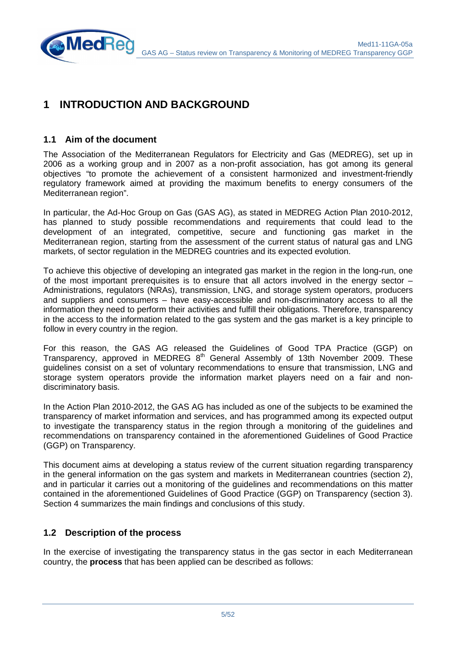

## **1 INTRODUCTION AND BACKGROUND**

#### **1.1 Aim of the document**

**MedRe** 

The Association of the Mediterranean Regulators for Electricity and Gas (MEDREG), set up in 2006 as a working group and in 2007 as a non-profit association, has got among its general objectives "to promote the achievement of a consistent harmonized and investment-friendly regulatory framework aimed at providing the maximum benefits to energy consumers of the Mediterranean region".

In particular, the Ad-Hoc Group on Gas (GAS AG), as stated in MEDREG Action Plan 2010-2012, has planned to study possible recommendations and requirements that could lead to the development of an integrated, competitive, secure and functioning gas market in the Mediterranean region, starting from the assessment of the current status of natural gas and LNG markets, of sector regulation in the MEDREG countries and its expected evolution.

To achieve this objective of developing an integrated gas market in the region in the long-run, one of the most important prerequisites is to ensure that all actors involved in the energy sector – Administrations, regulators (NRAs), transmission, LNG, and storage system operators, producers and suppliers and consumers – have easy-accessible and non-discriminatory access to all the information they need to perform their activities and fulfill their obligations. Therefore, transparency in the access to the information related to the gas system and the gas market is a key principle to follow in every country in the region.

For this reason, the GAS AG released the Guidelines of Good TPA Practice (GGP) on Transparency, approved in MEDREG 8<sup>th</sup> General Assembly of 13th November 2009. These guidelines consist on a set of voluntary recommendations to ensure that transmission, LNG and storage system operators provide the information market players need on a fair and nondiscriminatory basis.

In the Action Plan 2010-2012, the GAS AG has included as one of the subjects to be examined the transparency of market information and services, and has programmed among its expected output to investigate the transparency status in the region through a monitoring of the guidelines and recommendations on transparency contained in the aforementioned Guidelines of Good Practice (GGP) on Transparency.

This document aims at developing a status review of the current situation regarding transparency in the general information on the gas system and markets in Mediterranean countries (section 2), and in particular it carries out a monitoring of the guidelines and recommendations on this matter contained in the aforementioned Guidelines of Good Practice (GGP) on Transparency (section 3). Section 4 summarizes the main findings and conclusions of this study.

#### **1.2 Description of the process**

In the exercise of investigating the transparency status in the gas sector in each Mediterranean country, the **process** that has been applied can be described as follows: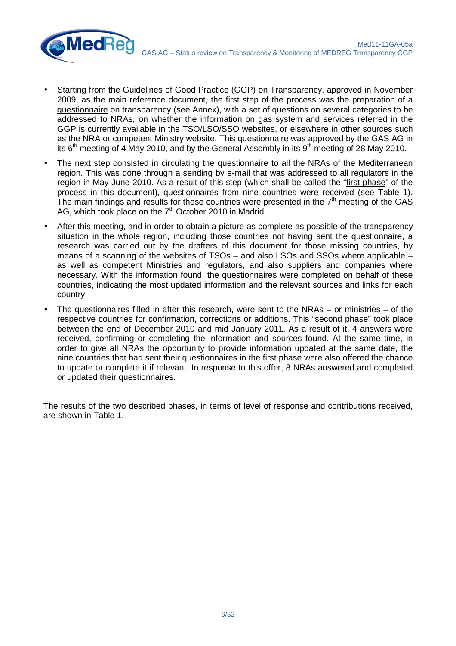

- The next step consisted in circulating the questionnaire to all the NRAs of the Mediterranean region. This was done through a sending by e-mail that was addressed to all regulators in the region in May-June 2010. As a result of this step (which shall be called the "first phase" of the process in this document), questionnaires from nine countries were received (see Table 1). The main findings and results for these countries were presented in the  $7<sup>th</sup>$  meeting of the GAS AG, which took place on the 7<sup>th</sup> October 2010 in Madrid.
- After this meeting, and in order to obtain a picture as complete as possible of the transparency situation in the whole region, including those countries not having sent the questionnaire, a research was carried out by the drafters of this document for those missing countries, by means of a scanning of the websites of TSOs – and also LSOs and SSOs where applicable – as well as competent Ministries and regulators, and also suppliers and companies where necessary. With the information found, the questionnaires were completed on behalf of these countries, indicating the most updated information and the relevant sources and links for each country.
- The questionnaires filled in after this research, were sent to the NRAs  $-$  or ministries  $-$  of the respective countries for confirmation, corrections or additions. This "second phase" took place between the end of December 2010 and mid January 2011. As a result of it, 4 answers were received, confirming or completing the information and sources found. At the same time, in order to give all NRAs the opportunity to provide information updated at the same date, the nine countries that had sent their questionnaires in the first phase were also offered the chance to update or complete it if relevant. In response to this offer, 8 NRAs answered and completed or updated their questionnaires.

The results of the two described phases, in terms of level of response and contributions received, are shown in Table 1.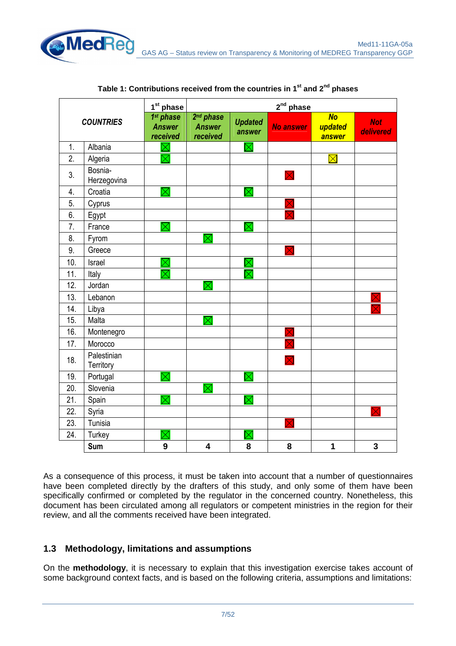

|                  |                          | 1 <sup>st</sup> phase                  |                                                    |                          | $2nd$ phase      |                                |                         |
|------------------|--------------------------|----------------------------------------|----------------------------------------------------|--------------------------|------------------|--------------------------------|-------------------------|
| <b>COUNTRIES</b> |                          | 1st phase<br><b>Answer</b><br>received | 2 <sup>nd</sup> phase<br><b>Answer</b><br>received | <b>Updated</b><br>answer | <b>No answer</b> | <b>No</b><br>updated<br>answer | <b>Not</b><br>delivered |
| 1.               | Albania                  | $\boxtimes$                            |                                                    | $\boxtimes$              |                  |                                |                         |
| 2.               | Algeria                  | $\boxtimes$                            |                                                    |                          |                  | $\boxtimes$                    |                         |
| 3.               | Bosnia-<br>Herzegovina   |                                        |                                                    |                          | $\boxtimes$      |                                |                         |
| 4.               | Croatia                  | $\boxtimes$                            |                                                    | $\boxtimes$              |                  |                                |                         |
| 5.               | Cyprus                   |                                        |                                                    |                          |                  |                                |                         |
| 6.               | Egypt                    |                                        |                                                    |                          |                  |                                |                         |
| 7.               | France                   | $\boxtimes$                            |                                                    | $\boxtimes$              |                  |                                |                         |
| 8.               | Fyrom                    |                                        | $\boxtimes$                                        |                          |                  |                                |                         |
| 9.               | Greece                   |                                        |                                                    |                          | $\boxtimes$      |                                |                         |
| 10.              | Israel                   | $\Join$                                |                                                    | $\boxtimes$              |                  |                                |                         |
| 11.              | Italy                    | $\boxtimes$                            |                                                    | $\boxtimes$              |                  |                                |                         |
| 12.              | Jordan                   |                                        | $\boxtimes$                                        |                          |                  |                                |                         |
| 13.              | Lebanon                  |                                        |                                                    |                          |                  |                                |                         |
| 14.              | Libya                    |                                        |                                                    |                          |                  |                                |                         |
| 15.              | Malta                    |                                        | $\overline{\boxtimes}$                             |                          |                  |                                |                         |
| 16.              | Montenegro               |                                        |                                                    |                          |                  |                                |                         |
| 17.              | Morocco                  |                                        |                                                    |                          |                  |                                |                         |
| 18.              | Palestinian<br>Territory |                                        |                                                    |                          |                  |                                |                         |
| 19.              | Portugal                 | $\boxtimes$                            |                                                    | $\boxtimes$              |                  |                                |                         |
| 20.              | Slovenia                 |                                        | $\boxtimes$                                        |                          |                  |                                |                         |
| 21.              | Spain                    | $\times$                               |                                                    | $\boxtimes$              |                  |                                |                         |
| 22.              | Syria                    |                                        |                                                    |                          |                  |                                | $\overline{\mathsf{X}}$ |
| 23.              | Tunisia                  |                                        |                                                    |                          | X                |                                |                         |
| 24.              | Turkey                   | $\boxtimes$                            |                                                    | $\boxtimes$              |                  |                                |                         |
|                  | Sum                      | 9                                      | $\overline{\mathbf{4}}$                            | 8                        | 8                | 1                              | 3                       |

| Table 1: Contributions received from the countries in 1 <sup>st</sup> and 2 <sup>nd</sup> phases |  |  |  |
|--------------------------------------------------------------------------------------------------|--|--|--|
|--------------------------------------------------------------------------------------------------|--|--|--|

As a consequence of this process, it must be taken into account that a number of questionnaires have been completed directly by the drafters of this study, and only some of them have been specifically confirmed or completed by the regulator in the concerned country. Nonetheless, this document has been circulated among all regulators or competent ministries in the region for their review, and all the comments received have been integrated.

## **1.3 Methodology, limitations and assumptions**

On the **methodology**, it is necessary to explain that this investigation exercise takes account of some background context facts, and is based on the following criteria, assumptions and limitations: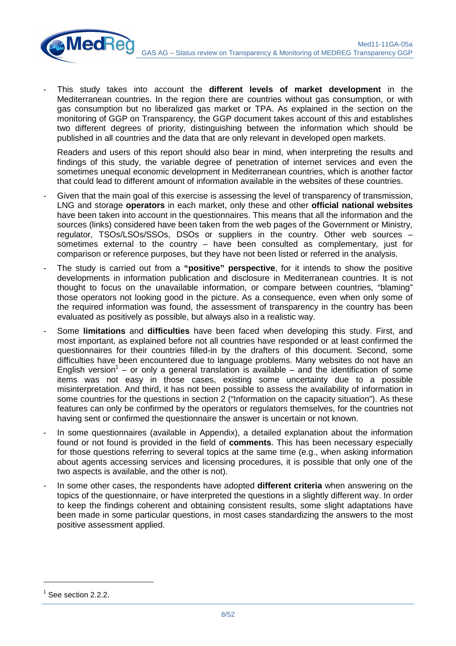

- This study takes into account the **different levels of market development** in the Mediterranean countries. In the region there are countries without gas consumption, or with gas consumption but no liberalized gas market or TPA. As explained in the section on the monitoring of GGP on Transparency, the GGP document takes account of this and establishes two different degrees of priority, distinguishing between the information which should be published in all countries and the data that are only relevant in developed open markets.

Readers and users of this report should also bear in mind, when interpreting the results and findings of this study, the variable degree of penetration of internet services and even the sometimes unequal economic development in Mediterranean countries, which is another factor that could lead to different amount of information available in the websites of these countries.

- Given that the main goal of this exercise is assessing the level of transparency of transmission, LNG and storage **operators** in each market, only these and other **official national websites** have been taken into account in the questionnaires. This means that all the information and the sources (links) considered have been taken from the web pages of the Government or Ministry, regulator, TSOs/LSOs/SSOs, DSOs or suppliers in the country. Other web sources – sometimes external to the country – have been consulted as complementary, just for comparison or reference purposes, but they have not been listed or referred in the analysis.
- The study is carried out from a "**positive" perspective**, for it intends to show the positive developments in information publication and disclosure in Mediterranean countries. It is not thought to focus on the unavailable information, or compare between countries, "blaming" those operators not looking good in the picture. As a consequence, even when only some of the required information was found, the assessment of transparency in the country has been evaluated as positively as possible, but always also in a realistic way.
- Some **limitations** and **difficulties** have been faced when developing this study. First, and most important, as explained before not all countries have responded or at least confirmed the questionnaires for their countries filled-in by the drafters of this document. Second, some difficulties have been encountered due to language problems. Many websites do not have an English version<sup>1</sup> – or only a general translation is available – and the identification of some items was not easy in those cases, existing some uncertainty due to a possible misinterpretation. And third, it has not been possible to assess the availability of information in some countries for the questions in section 2 ("Information on the capacity situation"). As these features can only be confirmed by the operators or regulators themselves, for the countries not having sent or confirmed the questionnaire the answer is uncertain or not known.
- In some questionnaires (available in Appendix), a detailed explanation about the information found or not found is provided in the field of **comments**. This has been necessary especially for those questions referring to several topics at the same time (e.g., when asking information about agents accessing services and licensing procedures, it is possible that only one of the two aspects is available, and the other is not).
- In some other cases, the respondents have adopted **different criteria** when answering on the topics of the questionnaire, or have interpreted the questions in a slightly different way. In order to keep the findings coherent and obtaining consistent results, some slight adaptations have been made in some particular questions, in most cases standardizing the answers to the most positive assessment applied.

 $\overline{a}$ 

 $<sup>1</sup>$  See section 2.2.2.</sup>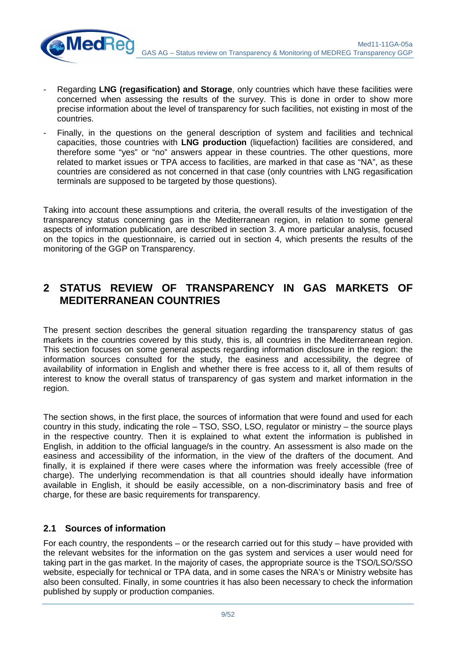- Regarding **LNG (regasification) and Storage**, only countries which have these facilities were concerned when assessing the results of the survey. This is done in order to show more precise information about the level of transparency for such facilities, not existing in most of the countries.
- Finally, in the questions on the general description of system and facilities and technical capacities, those countries with **LNG production** (liquefaction) facilities are considered, and therefore some "yes" or "no" answers appear in these countries. The other questions, more related to market issues or TPA access to facilities, are marked in that case as "NA", as these countries are considered as not concerned in that case (only countries with LNG regasification terminals are supposed to be targeted by those questions).

Taking into account these assumptions and criteria, the overall results of the investigation of the transparency status concerning gas in the Mediterranean region, in relation to some general aspects of information publication, are described in section 3. A more particular analysis, focused on the topics in the questionnaire, is carried out in section 4, which presents the results of the monitoring of the GGP on Transparency.

## **2 STATUS REVIEW OF TRANSPARENCY IN GAS MARKETS OF MEDITERRANEAN COUNTRIES**

The present section describes the general situation regarding the transparency status of gas markets in the countries covered by this study, this is, all countries in the Mediterranean region. This section focuses on some general aspects regarding information disclosure in the region: the information sources consulted for the study, the easiness and accessibility, the degree of availability of information in English and whether there is free access to it, all of them results of interest to know the overall status of transparency of gas system and market information in the region.

The section shows, in the first place, the sources of information that were found and used for each country in this study, indicating the role – TSO, SSO, LSO, regulator or ministry – the source plays in the respective country. Then it is explained to what extent the information is published in English, in addition to the official language/s in the country. An assessment is also made on the easiness and accessibility of the information, in the view of the drafters of the document. And finally, it is explained if there were cases where the information was freely accessible (free of charge). The underlying recommendation is that all countries should ideally have information available in English, it should be easily accessible, on a non-discriminatory basis and free of charge, for these are basic requirements for transparency.

### **2.1 Sources of information**

 $\mathsf{MedR}$ 

For each country, the respondents – or the research carried out for this study – have provided with the relevant websites for the information on the gas system and services a user would need for taking part in the gas market. In the majority of cases, the appropriate source is the TSO/LSO/SSO website, especially for technical or TPA data, and in some cases the NRA's or Ministry website has also been consulted. Finally, in some countries it has also been necessary to check the information published by supply or production companies.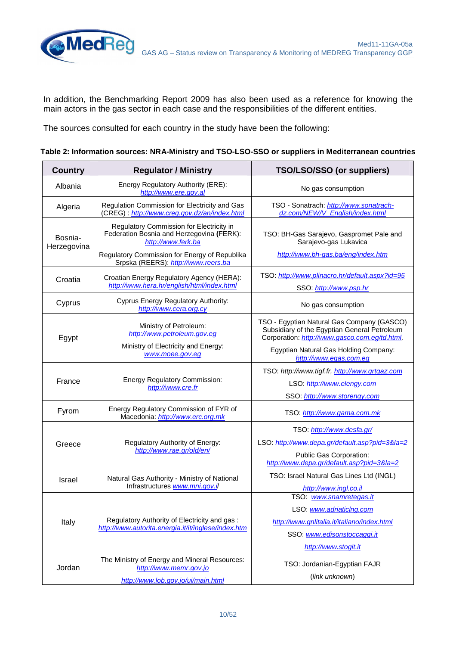In addition, the Benchmarking Report 2009 has also been used as a reference for knowing the main actors in the gas sector in each case and the responsibilities of the different entities.

The sources consulted for each country in the study have been the following:

**MedRed** 

| Table 2: Information sources: NRA-Ministry and TSO-LSO-SSO or suppliers in Mediterranean countries |  |  |  |
|----------------------------------------------------------------------------------------------------|--|--|--|
|                                                                                                    |  |  |  |

| <b>Country</b>         | <b>Regulator / Ministry</b>                                                                                                                                  | TSO/LSO/SSO (or suppliers)                                                                                                                  |  |  |
|------------------------|--------------------------------------------------------------------------------------------------------------------------------------------------------------|---------------------------------------------------------------------------------------------------------------------------------------------|--|--|
| Albania                | Energy Regulatory Authority (ERE):<br>http://www.ere.gov.al                                                                                                  | No gas consumption                                                                                                                          |  |  |
| Algeria                | Regulation Commission for Electricity and Gas<br>(CREG): http://www.creg.gov.dz/an/index.html                                                                | TSO - Sonatrach: http://www.sonatrach-<br>dz.com/NEW/V_English/index.html                                                                   |  |  |
| Bosnia-<br>Herzegovina | Regulatory Commission for Electricity in<br>Federation Bosnia and Herzegovina (FERK):<br>http://www.ferk.ba<br>Regulatory Commission for Energy of Republika | TSO: BH-Gas Sarajevo, Gaspromet Pale and<br>Sarajevo-gas Lukavica<br>http://www.bh-gas.ba/eng/index.htm                                     |  |  |
|                        | Srpska (REERS): http://www.reers.ba                                                                                                                          |                                                                                                                                             |  |  |
| Croatia                | Croatian Energy Regulatory Agency (HERA):<br>http://www.hera.hr/english/html/index.html                                                                      | TSO: http://www.plinacro.hr/default.aspx?id=95<br>SSO: http://www.psp.hr                                                                    |  |  |
| Cyprus                 | Cyprus Energy Regulatory Authority:<br>http://www.cera.org.cy                                                                                                | No gas consumption                                                                                                                          |  |  |
| Egypt                  | Ministry of Petroleum:<br>http://www.petroleum.gov.eg                                                                                                        | TSO - Egyptian Natural Gas Company (GASCO)<br>Subsidiary of the Egyptian General Petroleum<br>Corporation: http://www.gasco.com.eg/td.html, |  |  |
|                        | Ministry of Electricity and Energy:<br>www.moee.gov.eg                                                                                                       | Egyptian Natural Gas Holding Company:<br>http://www.egas.com.eg                                                                             |  |  |
|                        |                                                                                                                                                              | TSO: http://www.tigf.fr, http://www.grtgaz.com                                                                                              |  |  |
| France                 | <b>Energy Regulatory Commission:</b><br>http://www.cre.fr                                                                                                    | LSO: http://www.elengy.com                                                                                                                  |  |  |
|                        |                                                                                                                                                              | SSO: http://www.storengy.com                                                                                                                |  |  |
| Fyrom                  | Energy Regulatory Commission of FYR of<br>Macedonia: http://www.erc.org.mk                                                                                   | TSO: http://www.gama.com.mk                                                                                                                 |  |  |
|                        |                                                                                                                                                              | TSO: http://www.desfa.gr/                                                                                                                   |  |  |
| Greece                 | Regulatory Authority of Energy:                                                                                                                              | LSO: http://www.depa.gr/default.asp?pid=3&la=2                                                                                              |  |  |
|                        | http://www.rae.gr/old/en/                                                                                                                                    | Public Gas Corporation:<br>http://www.depa.gr/default.asp?pid=3&la=2                                                                        |  |  |
| <b>Israel</b>          | Natural Gas Authority - Ministry of National                                                                                                                 | TSO: Israel Natural Gas Lines Ltd (INGL)                                                                                                    |  |  |
|                        | Infrastructures www.mni.gov.il                                                                                                                               | http://www.ingl.co.il                                                                                                                       |  |  |
|                        |                                                                                                                                                              | TSO: www.snamretegas.it                                                                                                                     |  |  |
|                        | Regulatory Authority of Electricity and gas :                                                                                                                | LSO: www.adriaticlng.com                                                                                                                    |  |  |
| Italy                  | http://www.autorita.energia.it/it/inglese/index.htm                                                                                                          | http://www.gnlitalia.it/italiano/index.html                                                                                                 |  |  |
|                        |                                                                                                                                                              | SSO: www.edisonstoccaggi.it                                                                                                                 |  |  |
|                        |                                                                                                                                                              | http://www.stogit.it                                                                                                                        |  |  |
| Jordan                 | The Ministry of Energy and Mineral Resources:<br>http://www.memr.gov.jo                                                                                      | TSO: Jordanian-Egyptian FAJR                                                                                                                |  |  |
|                        | http://www.lob.gov.jo/ui/main.html                                                                                                                           | (link unknown)                                                                                                                              |  |  |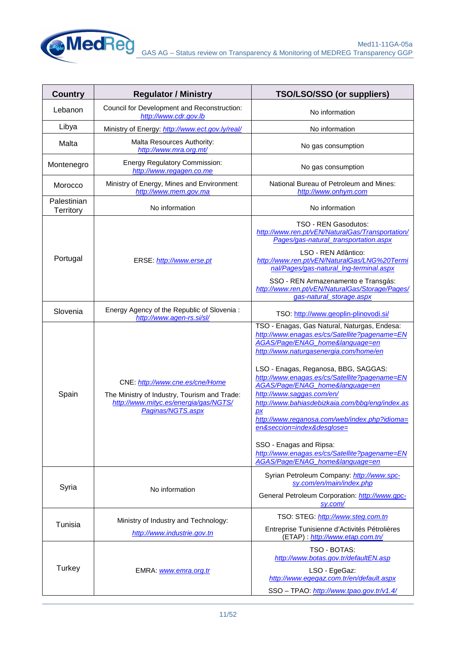

| <b>Country</b><br><b>Regulator / Ministry</b> |                                                                                                                                               | TSO/LSO/SSO (or suppliers)                                                                                                                                                                                                                                                                                                                                                                                                                                                                                                                                                                        |  |  |
|-----------------------------------------------|-----------------------------------------------------------------------------------------------------------------------------------------------|---------------------------------------------------------------------------------------------------------------------------------------------------------------------------------------------------------------------------------------------------------------------------------------------------------------------------------------------------------------------------------------------------------------------------------------------------------------------------------------------------------------------------------------------------------------------------------------------------|--|--|
| Lebanon                                       | Council for Development and Reconstruction:<br>http://www.cdr.gov.lb                                                                          | No information                                                                                                                                                                                                                                                                                                                                                                                                                                                                                                                                                                                    |  |  |
| Libya                                         | Ministry of Energy: http://www.ect.gov.ly/real/                                                                                               | No information                                                                                                                                                                                                                                                                                                                                                                                                                                                                                                                                                                                    |  |  |
| Malta                                         | Malta Resources Authority:<br>http://www.mra.org.mt/                                                                                          | No gas consumption                                                                                                                                                                                                                                                                                                                                                                                                                                                                                                                                                                                |  |  |
| Montenegro                                    | <b>Energy Regulatory Commission:</b><br>http://www.regagen.co.me                                                                              | No gas consumption                                                                                                                                                                                                                                                                                                                                                                                                                                                                                                                                                                                |  |  |
| Morocco                                       | Ministry of Energy, Mines and Environment:<br>http://www.mem.gov.ma                                                                           | National Bureau of Petroleum and Mines:<br>http://www.onhym.com                                                                                                                                                                                                                                                                                                                                                                                                                                                                                                                                   |  |  |
| Palestinian<br>Territory                      | No information                                                                                                                                | No information                                                                                                                                                                                                                                                                                                                                                                                                                                                                                                                                                                                    |  |  |
| Portugal                                      | ERSE: http://www.erse.pt                                                                                                                      | <b>TSO - REN Gasodutos:</b><br>http://www.ren.pt/vEN/NaturalGas/Transportation/<br>Pages/gas-natural_transportation.aspx<br>LSO - REN Atlântico:<br>http://www.ren.pt/vEN/NaturalGas/LNG%20Termi<br>nal/Pages/gas-natural Ing-terminal.aspx<br>SSO - REN Armazenamento e Transgás:<br>http://www.ren.pt/vEN/NaturalGas/Storage/Pages/<br>gas-natural storage.aspx                                                                                                                                                                                                                                 |  |  |
| Slovenia                                      | Energy Agency of the Republic of Slovenia:<br>http://www.agen-rs.si/sl/                                                                       | TSO: http://www.geoplin-plinovodi.si/                                                                                                                                                                                                                                                                                                                                                                                                                                                                                                                                                             |  |  |
| Spain                                         | CNE: http://www.cne.es/cne/Home<br>The Ministry of Industry, Tourism and Trade:<br>http://www.mityc.es/energia/gas/NGTS/<br>Paginas/NGTS.aspx | TSO - Enagas, Gas Natural, Naturgas, Endesa:<br>http://www.enagas.es/cs/Satellite?pagename=EN<br>AGAS/Page/ENAG_home&language=en<br>http://www.naturgasenergia.com/home/en<br>LSO - Enagas, Reganosa, BBG, SAGGAS:<br>http://www.enagas.es/cs/Satellite?pagename=EN<br>AGAS/Page/ENAG home&language=en<br>http://www.saggas.com/en/<br>http://www.bahiasdebizkaia.com/bbg/eng/index.as<br><b>DX</b><br>http://www.reganosa.com/web/index.php?idioma=<br>en&seccion=index&desglose=<br>SSO - Enagas and Ripsa:<br>http://www.enagas.es/cs/Satellite?pagename=EN<br>AGAS/Page/ENAG_home&language=en |  |  |
| Syria                                         | No information                                                                                                                                | Syrian Petroleum Company: http://www.spc-<br>sy.com/en/main/index.php<br>General Petroleum Corporation: http://www.gpc-<br>sy.com/                                                                                                                                                                                                                                                                                                                                                                                                                                                                |  |  |
| Tunisia                                       | Ministry of Industry and Technology:                                                                                                          | TSO: STEG: http://www.steg.com.tn                                                                                                                                                                                                                                                                                                                                                                                                                                                                                                                                                                 |  |  |
|                                               | http://www.industrie.gov.tn                                                                                                                   | Entreprise Tunisienne d'Activités Pétrolières<br>(ETAP): http://www.etap.com.tn/                                                                                                                                                                                                                                                                                                                                                                                                                                                                                                                  |  |  |
| Turkey                                        | EMRA: www.emra.org.tr                                                                                                                         | TSO - BOTAS:<br>http://www.botas.gov.tr/defaultEN.asp<br>LSO - EgeGaz:<br>http://www.egegaz.com.tr/en/default.aspx<br>SSO - TPAO: http://www.tpao.gov.tr/v1.4/                                                                                                                                                                                                                                                                                                                                                                                                                                    |  |  |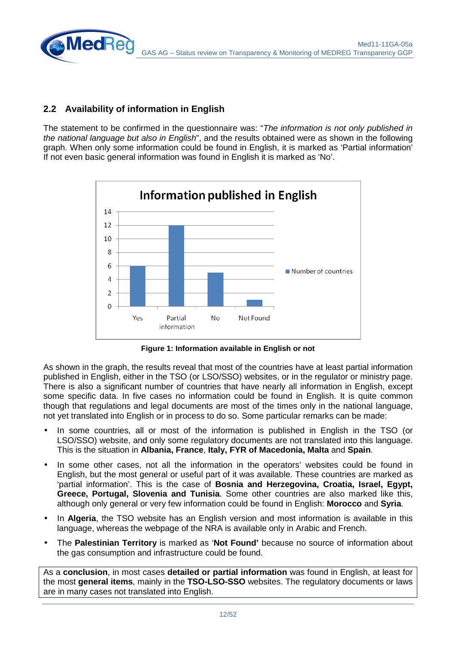### **2.2 Availability of information in English**

**MedRe** 

The statement to be confirmed in the questionnaire was: "The information is not only published in the national language but also in English", and the results obtained were as shown in the following graph. When only some information could be found in English, it is marked as 'Partial information' If not even basic general information was found in English it is marked as 'No'.



**Figure 1: Information available in English or not**

As shown in the graph, the results reveal that most of the countries have at least partial information published in English, either in the TSO (or LSO/SSO) websites, or in the regulator or ministry page. There is also a significant number of countries that have nearly all information in English, except some specific data. In five cases no information could be found in English. It is quite common though that regulations and legal documents are most of the times only in the national language, not yet translated into English or in process to do so. Some particular remarks can be made:

- In some countries, all or most of the information is published in English in the TSO (or LSO/SSO) website, and only some regulatory documents are not translated into this language. This is the situation in **Albania, France**, **Italy, FYR of Macedonia, Malta** and **Spain**.
- In some other cases, not all the information in the operators' websites could be found in English, but the most general or useful part of it was available. These countries are marked as 'partial information'. This is the case of **Bosnia and Herzegovina, Croatia, Israel, Egypt, Greece, Portugal, Slovenia and Tunisia**. Some other countries are also marked like this, although only general or very few information could be found in English: **Morocco** and **Syria**.
- In **Algeria**, the TSO website has an English version and most information is available in this language, whereas the webpage of the NRA is available only in Arabic and French.
- The **Palestinian Territory** is marked as '**Not Found'** because no source of information about the gas consumption and infrastructure could be found.

As a **conclusion**, in most cases **detailed or partial information** was found in English, at least for the most **general items**, mainly in the **TSO-LSO-SSO** websites. The regulatory documents or laws are in many cases not translated into English.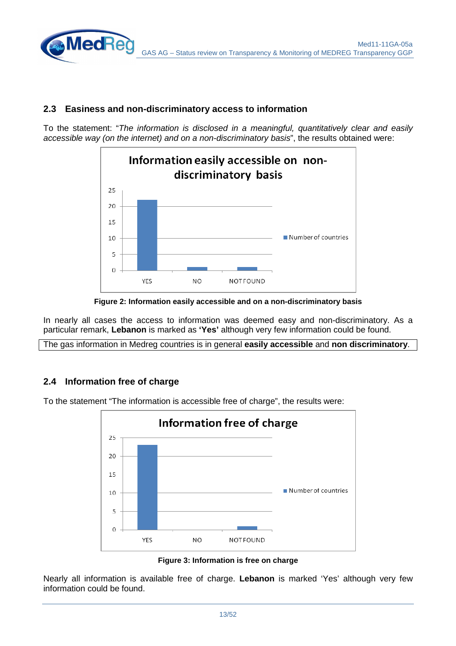#### **2.3 Easiness and non-discriminatory access to information**

To the statement: "The information is disclosed in a meaningful, quantitatively clear and easily accessible way (on the internet) and on a non-discriminatory basis", the results obtained were:



**Figure 2: Information easily accessible and on a non-discriminatory basis**

In nearly all cases the access to information was deemed easy and non-discriminatory. As a particular remark, **Lebanon** is marked as **'Yes'** although very few information could be found.

The gas information in Medreg countries is in general **easily accessible** and **non discriminatory**.

### **2.4 Information free of charge**

**MedRe** 



To the statement "The information is accessible free of charge", the results were:

**Figure 3: Information is free on charge** 

Nearly all information is available free of charge. **Lebanon** is marked 'Yes' although very few information could be found.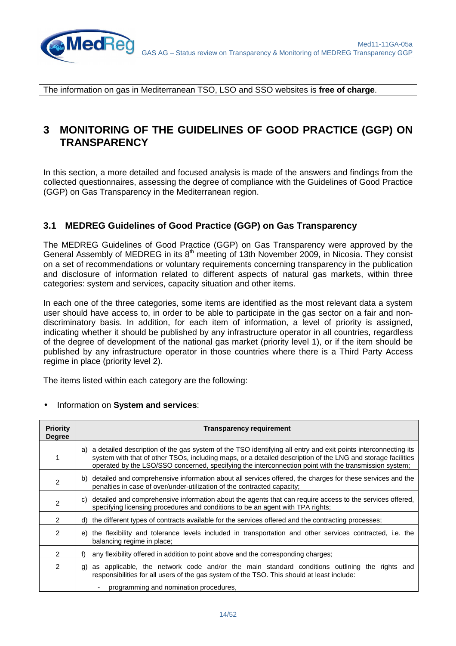

The information on gas in Mediterranean TSO, LSO and SSO websites is **free of charge**.

## **3 MONITORING OF THE GUIDELINES OF GOOD PRACTICE (GGP) ON TRANSPARENCY**

In this section, a more detailed and focused analysis is made of the answers and findings from the collected questionnaires, assessing the degree of compliance with the Guidelines of Good Practice (GGP) on Gas Transparency in the Mediterranean region.

#### **3.1 MEDREG Guidelines of Good Practice (GGP) on Gas Transparency**

The MEDREG Guidelines of Good Practice (GGP) on Gas Transparency were approved by the General Assembly of MEDREG in its  $8<sup>th</sup>$  meeting of 13th November 2009, in Nicosia. They consist on a set of recommendations or voluntary requirements concerning transparency in the publication and disclosure of information related to different aspects of natural gas markets, within three categories: system and services, capacity situation and other items.

In each one of the three categories, some items are identified as the most relevant data a system user should have access to, in order to be able to participate in the gas sector on a fair and nondiscriminatory basis. In addition, for each item of information, a level of priority is assigned, indicating whether it should be published by any infrastructure operator in all countries, regardless of the degree of development of the national gas market (priority level 1), or if the item should be published by any infrastructure operator in those countries where there is a Third Party Access regime in place (priority level 2).

The items listed within each category are the following:

|  | Information on System and services: |  |  |
|--|-------------------------------------|--|--|
|--|-------------------------------------|--|--|

| <b>Priority</b><br><b>Degree</b> | <b>Transparency requirement</b>                                                                                                                                                                                                                                                                                                          |
|----------------------------------|------------------------------------------------------------------------------------------------------------------------------------------------------------------------------------------------------------------------------------------------------------------------------------------------------------------------------------------|
| 1                                | a) a detailed description of the gas system of the TSO identifying all entry and exit points interconnecting its<br>system with that of other TSOs, including maps, or a detailed description of the LNG and storage facilities<br>operated by the LSO/SSO concerned, specifying the interconnection point with the transmission system; |
| 2                                | b) detailed and comprehensive information about all services offered, the charges for these services and the<br>penalties in case of over/under-utilization of the contracted capacity;                                                                                                                                                  |
| 2                                | c) detailed and comprehensive information about the agents that can require access to the services offered,<br>specifying licensing procedures and conditions to be an agent with TPA rights;                                                                                                                                            |
| $\mathcal{P}$                    | d) the different types of contracts available for the services offered and the contracting processes;                                                                                                                                                                                                                                    |
| 2                                | the flexibility and tolerance levels included in transportation and other services contracted, i.e. the<br>e)<br>balancing regime in place;                                                                                                                                                                                              |
| 2                                | any flexibility offered in addition to point above and the corresponding charges;<br>f)                                                                                                                                                                                                                                                  |
| $\mathcal{P}$                    | as applicable, the network code and/or the main standard conditions outlining the rights and<br>g)<br>responsibilities for all users of the gas system of the TSO. This should at least include:                                                                                                                                         |
|                                  | programming and nomination procedures,                                                                                                                                                                                                                                                                                                   |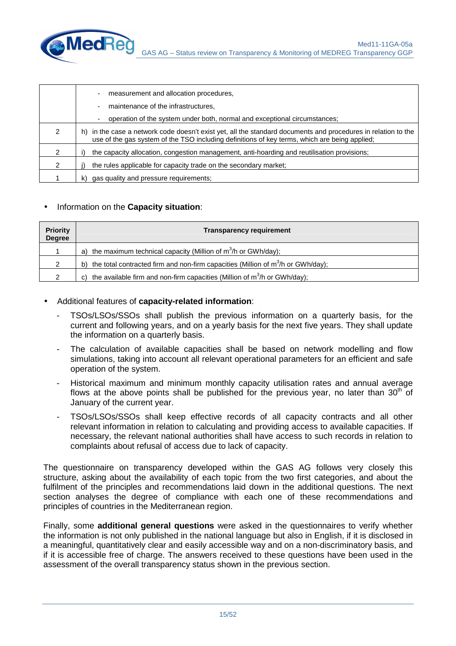

|               | measurement and allocation procedures,                                                                                                                                                                            |
|---------------|-------------------------------------------------------------------------------------------------------------------------------------------------------------------------------------------------------------------|
|               | maintenance of the infrastructures.                                                                                                                                                                               |
|               | operation of the system under both, normal and exceptional circumstances;                                                                                                                                         |
| 2             | in the case a network code doesn't exist yet, all the standard documents and procedures in relation to the<br>h)<br>use of the gas system of the TSO including definitions of key terms, which are being applied; |
| 2             | the capacity allocation, congestion management, anti-hoarding and reutilisation provisions;                                                                                                                       |
| $\mathcal{P}$ | the rules applicable for capacity trade on the secondary market:                                                                                                                                                  |
|               | gas quality and pressure requirements;<br>k)                                                                                                                                                                      |

#### • Information on the **Capacity situation**:

| <b>Priority</b><br><b>Degree</b> | <b>Transparency requirement</b>                                                              |
|----------------------------------|----------------------------------------------------------------------------------------------|
|                                  | a) the maximum technical capacity (Million of $m^3/h$ or GWh/day);                           |
| っ                                | the total contracted firm and non-firm capacities (Million of $m3/h$ or GWh/day);<br>b)      |
| っ                                | the available firm and non-firm capacities (Million of $m^3/h$ or GWh/day);<br>$\mathcal{C}$ |

#### • Additional features of **capacity-related information**:

- TSOs/LSOs/SSOs shall publish the previous information on a quarterly basis, for the current and following years, and on a yearly basis for the next five years. They shall update the information on a quarterly basis.
- The calculation of available capacities shall be based on network modelling and flow simulations, taking into account all relevant operational parameters for an efficient and safe operation of the system.
- Historical maximum and minimum monthly capacity utilisation rates and annual average flows at the above points shall be published for the previous year, no later than  $30<sup>th</sup>$  of January of the current year.
- TSOs/LSOs/SSOs shall keep effective records of all capacity contracts and all other relevant information in relation to calculating and providing access to available capacities. If necessary, the relevant national authorities shall have access to such records in relation to complaints about refusal of access due to lack of capacity.

The questionnaire on transparency developed within the GAS AG follows very closely this structure, asking about the availability of each topic from the two first categories, and about the fulfilment of the principles and recommendations laid down in the additional questions. The next section analyses the degree of compliance with each one of these recommendations and principles of countries in the Mediterranean region.

Finally, some **additional general questions** were asked in the questionnaires to verify whether the information is not only published in the national language but also in English, if it is disclosed in a meaningful, quantitatively clear and easily accessible way and on a non-discriminatory basis, and if it is accessible free of charge. The answers received to these questions have been used in the assessment of the overall transparency status shown in the previous section.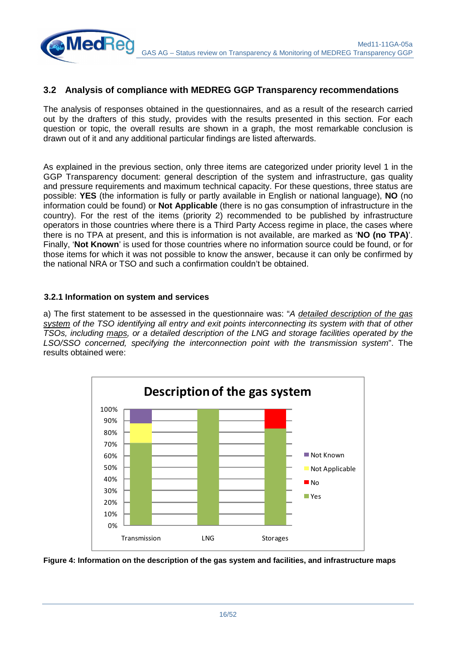

#### **3.2 Analysis of compliance with MEDREG GGP Transparency recommendations**

The analysis of responses obtained in the questionnaires, and as a result of the research carried out by the drafters of this study, provides with the results presented in this section. For each question or topic, the overall results are shown in a graph, the most remarkable conclusion is drawn out of it and any additional particular findings are listed afterwards.

As explained in the previous section, only three items are categorized under priority level 1 in the GGP Transparency document: general description of the system and infrastructure, gas quality and pressure requirements and maximum technical capacity. For these questions, three status are possible: **YES** (the information is fully or partly available in English or national language), **NO** (no information could be found) or **Not Applicable** (there is no gas consumption of infrastructure in the country). For the rest of the items (priority 2) recommended to be published by infrastructure operators in those countries where there is a Third Party Access regime in place, the cases where there is no TPA at present, and this is information is not available, are marked as '**NO (no TPA)**'. Finally, '**Not Known**' is used for those countries where no information source could be found, or for those items for which it was not possible to know the answer, because it can only be confirmed by the national NRA or TSO and such a confirmation couldn't be obtained.

#### **3.2.1 Information on system and services**

a) The first statement to be assessed in the questionnaire was: "A detailed description of the gas system of the TSO identifying all entry and exit points interconnecting its system with that of other TSOs, including maps, or a detailed description of the LNG and storage facilities operated by the LSO/SSO concerned, specifying the interconnection point with the transmission system". The results obtained were:



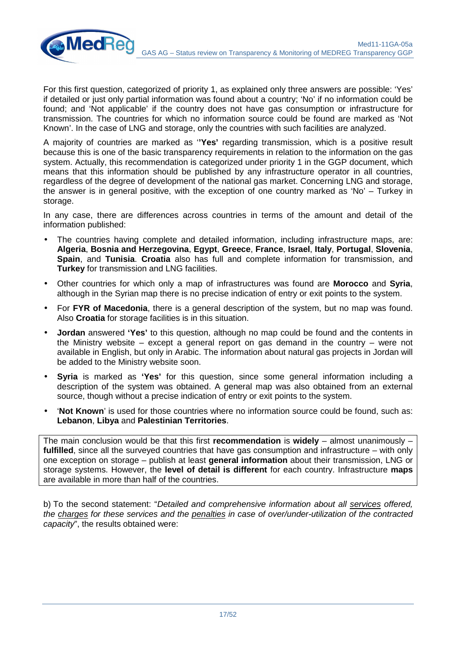

For this first question, categorized of priority 1, as explained only three answers are possible: 'Yes' if detailed or just only partial information was found about a country; 'No' if no information could be found; and 'Not applicable' if the country does not have gas consumption or infrastructure for transmission. The countries for which no information source could be found are marked as 'Not Known'. In the case of LNG and storage, only the countries with such facilities are analyzed.

A majority of countries are marked as '**'Yes'** regarding transmission, which is a positive result because this is one of the basic transparency requirements in relation to the information on the gas system. Actually, this recommendation is categorized under priority 1 in the GGP document, which means that this information should be published by any infrastructure operator in all countries, regardless of the degree of development of the national gas market. Concerning LNG and storage, the answer is in general positive, with the exception of one country marked as 'No' – Turkey in storage.

In any case, there are differences across countries in terms of the amount and detail of the information published:

- The countries having complete and detailed information, including infrastructure maps, are: **Algeria**, **Bosnia and Herzegovina**, **Egypt**, **Greece**, **France**, **Israel**, **Italy**, **Portugal**, **Slovenia**, **Spain**, and **Tunisia**. **Croatia** also has full and complete information for transmission, and **Turkey** for transmission and LNG facilities.
- Other countries for which only a map of infrastructures was found are **Morocco** and **Syria**, although in the Syrian map there is no precise indication of entry or exit points to the system.
- For **FYR of Macedonia**, there is a general description of the system, but no map was found. Also **Croatia** for storage facilities is in this situation.
- **Jordan** answered **'Yes'** to this question, although no map could be found and the contents in the Ministry website – except a general report on gas demand in the country – were not available in English, but only in Arabic. The information about natural gas projects in Jordan will be added to the Ministry website soon.
- **Syria** is marked as **'Yes'** for this question, since some general information including a description of the system was obtained. A general map was also obtained from an external source, though without a precise indication of entry or exit points to the system.
- '**Not Known**' is used for those countries where no information source could be found, such as: **Lebanon**, **Libya** and **Palestinian Territories**.

The main conclusion would be that this first **recommendation** is **widely** – almost unanimously – **fulfilled**, since all the surveyed countries that have gas consumption and infrastructure – with only one exception on storage – publish at least **general information** about their transmission, LNG or storage systems. However, the **level of detail is different** for each country. Infrastructure **maps** are available in more than half of the countries.

b) To the second statement: "Detailed and comprehensive information about all services offered, the charges for these services and the penalties in case of over/under-utilization of the contracted capacity", the results obtained were: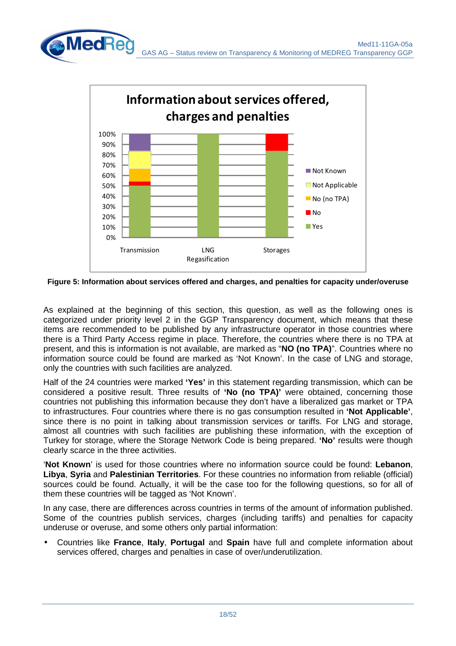

**Figure 5: Information about services offered and charges, and penalties for capacity under/overuse** 

As explained at the beginning of this section, this question, as well as the following ones is categorized under priority level 2 in the GGP Transparency document, which means that these items are recommended to be published by any infrastructure operator in those countries where there is a Third Party Access regime in place. Therefore, the countries where there is no TPA at present, and this is information is not available, are marked as "**NO (no TPA)**". Countries where no information source could be found are marked as 'Not Known'. In the case of LNG and storage, only the countries with such facilities are analyzed.

Half of the 24 countries were marked **'Yes'** in this statement regarding transmission, which can be considered a positive result. Three results of **'No (no TPA)'** were obtained, concerning those countries not publishing this information because they don't have a liberalized gas market or TPA to infrastructures. Four countries where there is no gas consumption resulted in **'Not Applicable'**, since there is no point in talking about transmission services or tariffs. For LNG and storage, almost all countries with such facilities are publishing these information, with the exception of Turkey for storage, where the Storage Network Code is being prepared. **'No'** results were though clearly scarce in the three activities.

'**Not Known**' is used for those countries where no information source could be found: **Lebanon**, **Libya**, **Syria** and **Palestinian Territories**. For these countries no information from reliable (official) sources could be found. Actually, it will be the case too for the following questions, so for all of them these countries will be tagged as 'Not Known'.

In any case, there are differences across countries in terms of the amount of information published. Some of the countries publish services, charges (including tariffs) and penalties for capacity underuse or overuse, and some others only partial information:

• Countries like **France**, **Italy**, **Portugal** and **Spain** have full and complete information about services offered, charges and penalties in case of over/underutilization.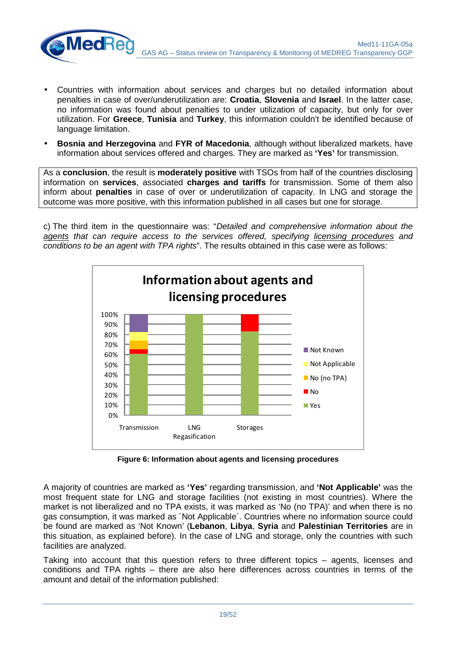![](_page_18_Picture_0.jpeg)

• Countries with information about services and charges but no detailed information about penalties in case of over/underutilization are: **Croatia**, **Slovenia** and **Israel**. In the latter case, no information was found about penalties to under utilization of capacity, but only for over utilization. For **Greece**, **Tunisia** and **Turkey**, this information couldn't be identified because of language limitation.

**MedRe** 

• **Bosnia and Herzegovina** and **FYR of Macedonia**, although without liberalized markets, have information about services offered and charges. They are marked as **'Yes'** for transmission.

As a **conclusion**, the result is **moderately positive** with TSOs from half of the countries disclosing information on **services**, associated **charges and tariffs** for transmission. Some of them also inform about **penalties** in case of over or underutilization of capacity. In LNG and storage the outcome was more positive, with this information published in all cases but one for storage.

c) The third item in the questionnaire was: "Detailed and comprehensive information about the agents that can require access to the services offered, specifying licensing procedures and conditions to be an agent with TPA rights". The results obtained in this case were as follows:

![](_page_18_Figure_5.jpeg)

**Figure 6: Information about agents and licensing procedures** 

A majority of countries are marked as **'Yes'** regarding transmission, and **'Not Applicable'** was the most frequent state for LNG and storage facilities (not existing in most countries). Where the market is not liberalized and no TPA exists, it was marked as 'No (no TPA)' and when there is no gas consumption, it was marked as ´Not Applicable´. Countries where no information source could be found are marked as 'Not Known' (**Lebanon**, **Libya**, **Syria** and **Palestinian Territories** are in this situation, as explained before). In the case of LNG and storage, only the countries with such facilities are analyzed.

Taking into account that this question refers to three different topics – agents, licenses and conditions and TPA rights – there are also here differences across countries in terms of the amount and detail of the information published: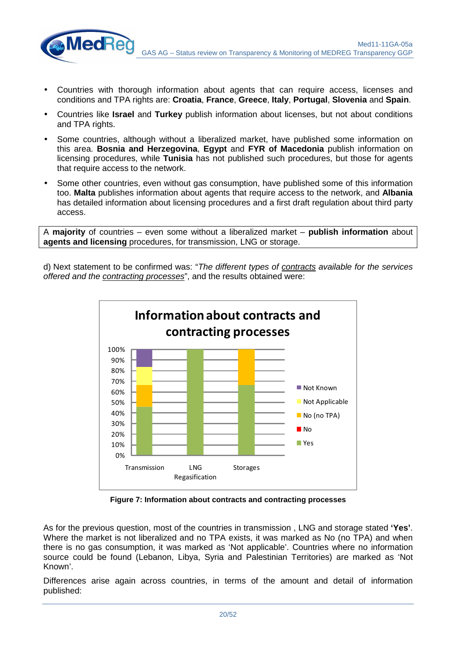![](_page_19_Picture_0.jpeg)

• Countries with thorough information about agents that can require access, licenses and conditions and TPA rights are: **Croatia**, **France**, **Greece**, **Italy**, **Portugal**, **Slovenia** and **Spain**.

**MedRe** 

- Countries like **Israel** and **Turkey** publish information about licenses, but not about conditions and TPA rights.
- Some countries, although without a liberalized market, have published some information on this area. **Bosnia and Herzegovina**, **Egypt** and **FYR of Macedonia** publish information on licensing procedures, while **Tunisia** has not published such procedures, but those for agents that require access to the network.
- Some other countries, even without gas consumption, have published some of this information too. **Malta** publishes information about agents that require access to the network, and **Albania** has detailed information about licensing procedures and a first draft regulation about third party access.

A **majority** of countries – even some without a liberalized market – **publish information** about **agents and licensing** procedures, for transmission, LNG or storage.

d) Next statement to be confirmed was: "The different types of contracts available for the services offered and the contracting processes", and the results obtained were:

![](_page_19_Figure_7.jpeg)

**Figure 7: Information about contracts and contracting processes** 

As for the previous question, most of the countries in transmission , LNG and storage stated **'Yes'**. Where the market is not liberalized and no TPA exists, it was marked as No (no TPA) and when there is no gas consumption, it was marked as 'Not applicable'. Countries where no information source could be found (Lebanon, Libya, Syria and Palestinian Territories) are marked as 'Not Known'.

Differences arise again across countries, in terms of the amount and detail of information published: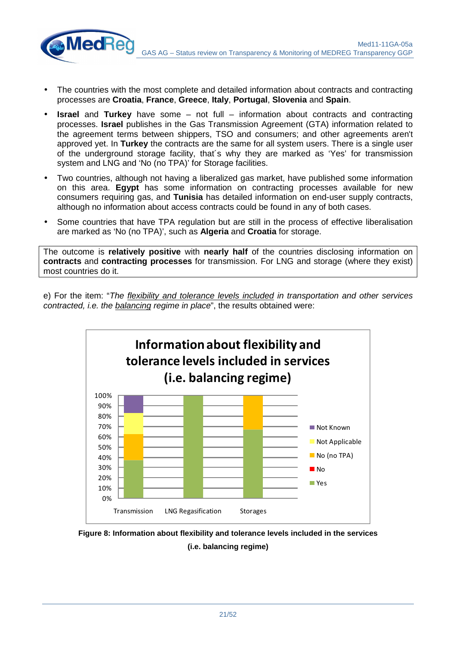Med11-11GA-05a GAS AG – Status review on Transparency & Monitoring of MEDREG Transparency GGP

• The countries with the most complete and detailed information about contracts and contracting processes are **Croatia**, **France**, **Greece**, **Italy**, **Portugal**, **Slovenia** and **Spain**.

**MedRe** 

- **Israel** and **Turkey** have some not full information about contracts and contracting processes. **Israel** publishes in the Gas Transmission Agreement (GTA) information related to the agreement terms between shippers, TSO and consumers; and other agreements aren't approved yet. In **Turkey** the contracts are the same for all system users. There is a single user of the underground storage facility, that´s why they are marked as 'Yes' for transmission system and LNG and 'No (no TPA)' for Storage facilities.
- Two countries, although not having a liberalized gas market, have published some information on this area. **Egypt** has some information on contracting processes available for new consumers requiring gas, and **Tunisia** has detailed information on end-user supply contracts, although no information about access contracts could be found in any of both cases.
- Some countries that have TPA regulation but are still in the process of effective liberalisation are marked as 'No (no TPA)', such as **Algeria** and **Croatia** for storage.

The outcome is **relatively positive** with **nearly half** of the countries disclosing information on **contracts** and **contracting processes** for transmission. For LNG and storage (where they exist) most countries do it.

e) For the item: "The flexibility and tolerance levels included in transportation and other services contracted, i.e. the balancing regime in place", the results obtained were:

![](_page_20_Figure_7.jpeg)

![](_page_20_Figure_8.jpeg)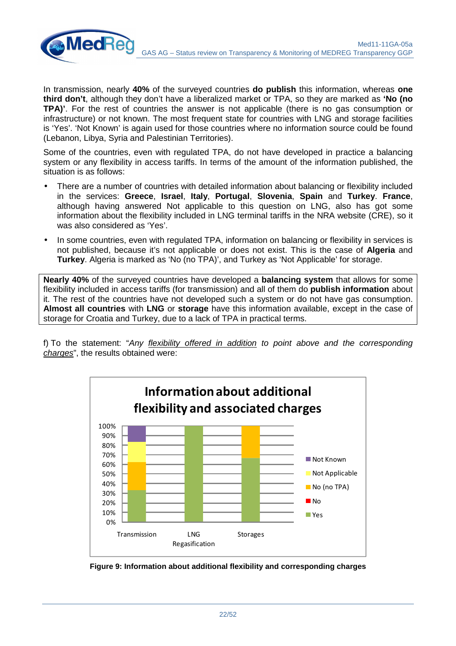![](_page_21_Picture_1.jpeg)

In transmission, nearly **40%** of the surveyed countries **do publish** this information, whereas **one third don't**, although they don't have a liberalized market or TPA, so they are marked as **'No (no TPA)'**. For the rest of countries the answer is not applicable (there is no gas consumption or infrastructure) or not known. The most frequent state for countries with LNG and storage facilities is 'Yes'. 'Not Known' is again used for those countries where no information source could be found (Lebanon, Libya, Syria and Palestinian Territories).

Some of the countries, even with regulated TPA, do not have developed in practice a balancing system or any flexibility in access tariffs. In terms of the amount of the information published, the situation is as follows:

- There are a number of countries with detailed information about balancing or flexibility included in the services: **Greece**, **Israel**, **Italy**, **Portugal**, **Slovenia**, **Spain** and **Turkey**. **France**, although having answered Not applicable to this question on LNG, also has got some information about the flexibility included in LNG terminal tariffs in the NRA website (CRE), so it was also considered as 'Yes'.
- In some countries, even with regulated TPA, information on balancing or flexibility in services is not published, because it's not applicable or does not exist. This is the case of **Algeria** and **Turkey**. Algeria is marked as 'No (no TPA)', and Turkey as 'Not Applicable' for storage.

**Nearly 40%** of the surveyed countries have developed a **balancing system** that allows for some flexibility included in access tariffs (for transmission) and all of them do **publish information** about it. The rest of the countries have not developed such a system or do not have gas consumption. **Almost all countries** with **LNG** or **storage** have this information available, except in the case of storage for Croatia and Turkey, due to a lack of TPA in practical terms.

f) To the statement: "Any flexibility offered in addition to point above and the corresponding charges", the results obtained were:

![](_page_21_Figure_8.jpeg)

![](_page_21_Figure_9.jpeg)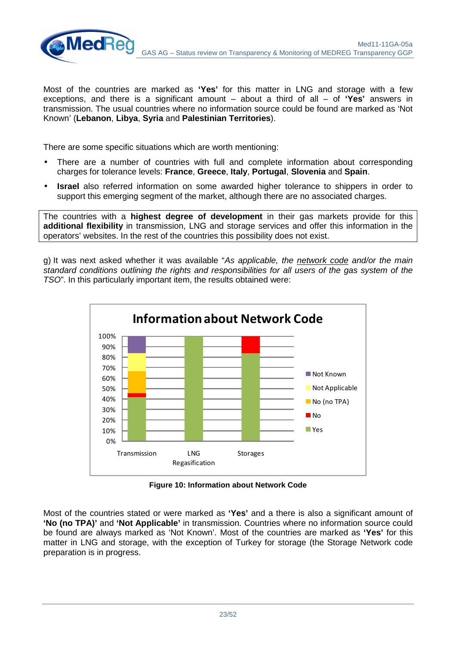![](_page_22_Picture_1.jpeg)

Most of the countries are marked as **'Yes'** for this matter in LNG and storage with a few exceptions, and there is a significant amount – about a third of all – of **'Yes'** answers in transmission. The usual countries where no information source could be found are marked as 'Not Known' (**Lebanon**, **Libya**, **Syria** and **Palestinian Territories**).

There are some specific situations which are worth mentioning:

- There are a number of countries with full and complete information about corresponding charges for tolerance levels: **France**, **Greece**, **Italy**, **Portugal**, **Slovenia** and **Spain**.
- **Israel** also referred information on some awarded higher tolerance to shippers in order to support this emerging segment of the market, although there are no associated charges.

The countries with a **highest degree of development** in their gas markets provide for this **additional flexibility** in transmission, LNG and storage services and offer this information in the operators' websites. In the rest of the countries this possibility does not exist.

g) It was next asked whether it was available "As applicable, the network code and/or the main standard conditions outlining the rights and responsibilities for all users of the gas system of the TSO". In this particularly important item, the results obtained were:

![](_page_22_Figure_8.jpeg)

**Figure 10: Information about Network Code** 

Most of the countries stated or were marked as **'Yes'** and a there is also a significant amount of **'No (no TPA)'** and **'Not Applicable'** in transmission. Countries where no information source could be found are always marked as 'Not Known'. Most of the countries are marked as **'Yes'** for this matter in LNG and storage, with the exception of Turkey for storage (the Storage Network code preparation is in progress.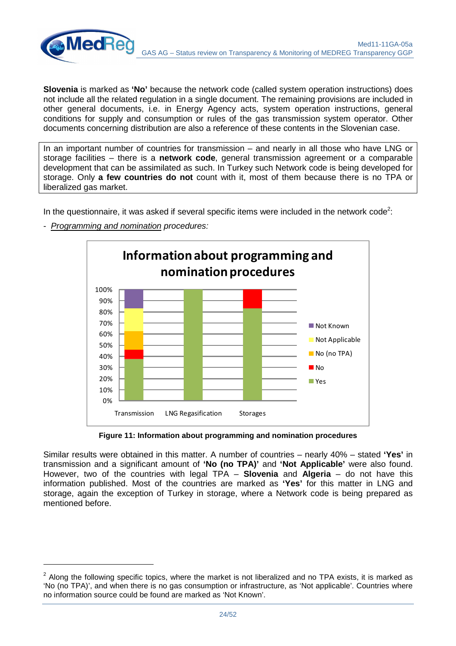![](_page_23_Picture_0.jpeg)

**Slovenia** is marked as **'No'** because the network code (called system operation instructions) does not include all the related regulation in a single document. The remaining provisions are included in other general documents, i.e. in Energy Agency acts, system operation instructions, general conditions for supply and consumption or rules of the gas transmission system operator. Other documents concerning distribution are also a reference of these contents in the Slovenian case.

In an important number of countries for transmission – and nearly in all those who have LNG or storage facilities – there is a **network code**, general transmission agreement or a comparable development that can be assimilated as such. In Turkey such Network code is being developed for storage. Only **a few countries do not** count with it, most of them because there is no TPA or liberalized gas market.

In the questionnaire, it was asked if several specific items were included in the network code<sup>2</sup>:

![](_page_23_Figure_4.jpeg)

- Programming and nomination procedures:

**MedRe** 

**Figure 11: Information about programming and nomination procedures** 

Similar results were obtained in this matter. A number of countries – nearly 40% – stated **'Yes'** in transmission and a significant amount of **'No (no TPA)'** and **'Not Applicable'** were also found. However, two of the countries with legal TPA – **Slovenia** and **Algeria** – do not have this information published. Most of the countries are marked as **'Yes'** for this matter in LNG and storage, again the exception of Turkey in storage, where a Network code is being prepared as mentioned before.

 $2$  Along the following specific topics, where the market is not liberalized and no TPA exists, it is marked as 'No (no TPA)', and when there is no gas consumption or infrastructure, as 'Not applicable'. Countries where no information source could be found are marked as 'Not Known'.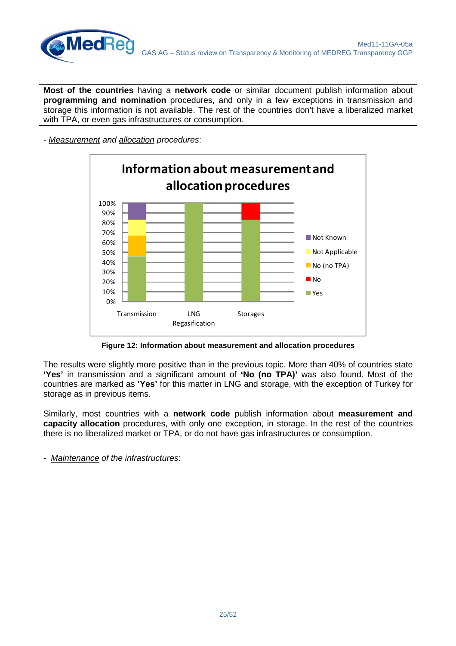![](_page_24_Picture_0.jpeg)

**Most of the countries** having a **network code** or similar document publish information about **programming and nomination** procedures, and only in a few exceptions in transmission and storage this information is not available. The rest of the countries don't have a liberalized market with TPA, or even gas infrastructures or consumption.

- Measurement and allocation procedures:

![](_page_24_Figure_4.jpeg)

**Figure 12: Information about measurement and allocation procedures** 

The results were slightly more positive than in the previous topic. More than 40% of countries state **'Yes'** in transmission and a significant amount of **'No (no TPA)'** was also found. Most of the countries are marked as **'Yes'** for this matter in LNG and storage, with the exception of Turkey for storage as in previous items.

Similarly, most countries with a **network code** publish information about **measurement and capacity allocation** procedures, with only one exception, in storage. In the rest of the countries there is no liberalized market or TPA, or do not have gas infrastructures or consumption.

- Maintenance of the infrastructures: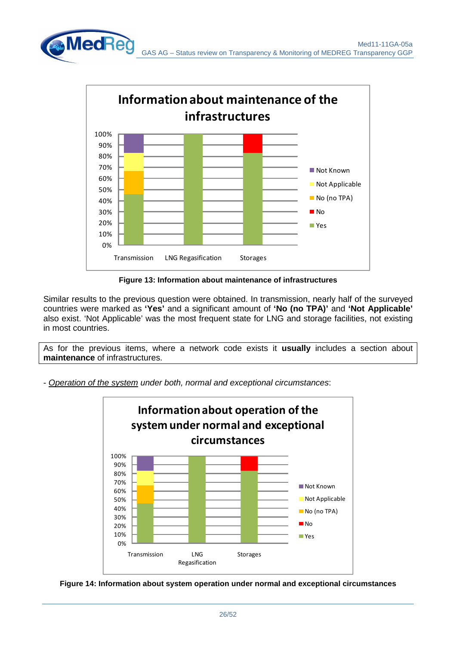![](_page_25_Figure_1.jpeg)

**Figure 13: Information about maintenance of infrastructures** 

Similar results to the previous question were obtained. In transmission, nearly half of the surveyed countries were marked as **'Yes'** and a significant amount of **'No (no TPA)'** and **'Not Applicable'** also exist. 'Not Applicable' was the most frequent state for LNG and storage facilities, not existing in most countries.

As for the previous items, where a network code exists it **usually** includes a section about **maintenance** of infrastructures.

- Operation of the system under both, normal and exceptional circumstances:

![](_page_25_Figure_6.jpeg)

![](_page_25_Figure_7.jpeg)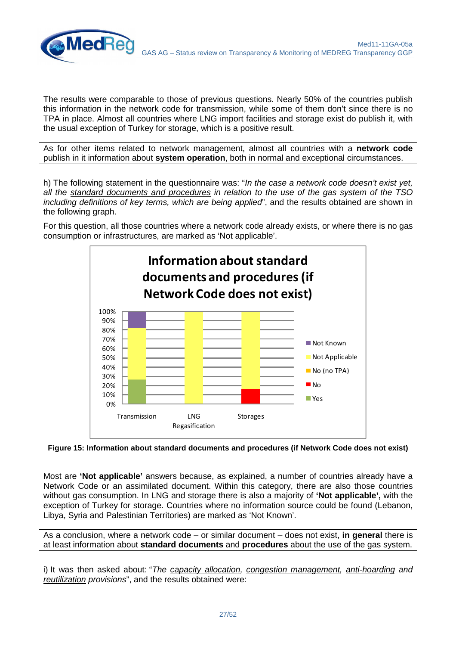![](_page_26_Picture_1.jpeg)

The results were comparable to those of previous questions. Nearly 50% of the countries publish this information in the network code for transmission, while some of them don't since there is no TPA in place. Almost all countries where LNG import facilities and storage exist do publish it, with the usual exception of Turkey for storage, which is a positive result.

As for other items related to network management, almost all countries with a **network code** publish in it information about **system operation**, both in normal and exceptional circumstances.

h) The following statement in the questionnaire was: "In the case a network code doesn't exist yet, all the standard documents and procedures in relation to the use of the gas system of the TSO including definitions of key terms, which are being applied", and the results obtained are shown in the following graph.

For this question, all those countries where a network code already exists, or where there is no gas consumption or infrastructures, are marked as 'Not applicable'.

![](_page_26_Figure_6.jpeg)

**Figure 15: Information about standard documents and procedures (if Network Code does not exist)** 

Most are **'Not applicable'** answers because, as explained, a number of countries already have a Network Code or an assimilated document. Within this category, there are also those countries without gas consumption. In LNG and storage there is also a majority of **'Not applicable',** with the exception of Turkey for storage. Countries where no information source could be found (Lebanon, Libya, Syria and Palestinian Territories) are marked as 'Not Known'.

As a conclusion, where a network code – or similar document – does not exist, **in general** there is at least information about **standard documents** and **procedures** about the use of the gas system.

i) It was then asked about: "The capacity allocation, congestion management, anti-hoarding and reutilization provisions", and the results obtained were: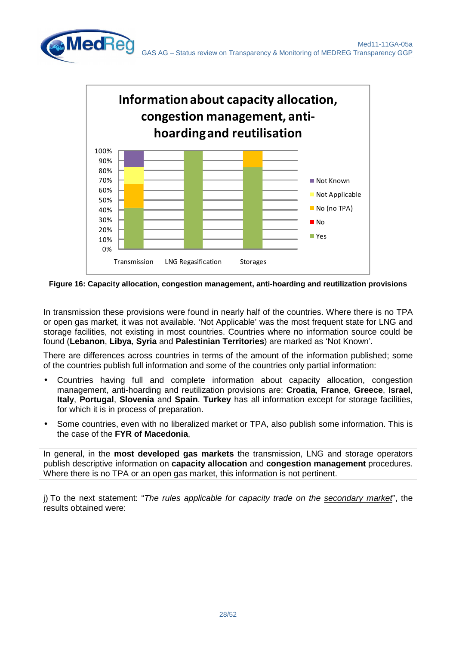![](_page_27_Figure_1.jpeg)

**Figure 16: Capacity allocation, congestion management, anti-hoarding and reutilization provisions** 

In transmission these provisions were found in nearly half of the countries. Where there is no TPA or open gas market, it was not available. 'Not Applicable' was the most frequent state for LNG and storage facilities, not existing in most countries. Countries where no information source could be found (**Lebanon**, **Libya**, **Syria** and **Palestinian Territories**) are marked as 'Not Known'.

There are differences across countries in terms of the amount of the information published; some of the countries publish full information and some of the countries only partial information:

- Countries having full and complete information about capacity allocation, congestion management, anti-hoarding and reutilization provisions are: **Croatia**, **France**, **Greece**, **Israel**, **Italy**, **Portugal**, **Slovenia** and **Spain**. **Turkey** has all information except for storage facilities, for which it is in process of preparation.
- Some countries, even with no liberalized market or TPA, also publish some information. This is the case of the **FYR of Macedonia**,

In general, in the **most developed gas markets** the transmission, LNG and storage operators publish descriptive information on **capacity allocation** and **congestion management** procedures. Where there is no TPA or an open gas market, this information is not pertinent.

j) To the next statement: "The rules applicable for capacity trade on the secondary market", the results obtained were: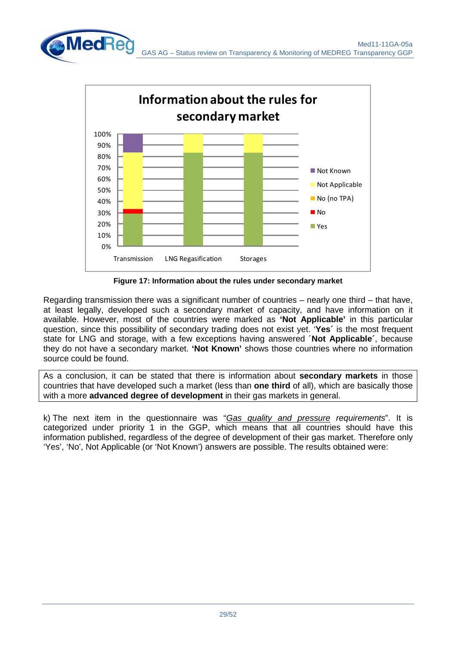![](_page_28_Figure_1.jpeg)

**Figure 17: Information about the rules under secondary market** 

Regarding transmission there was a significant number of countries – nearly one third – that have, at least legally, developed such a secondary market of capacity, and have information on it available. However, most of the countries were marked as **'Not Applicable'** in this particular question, since this possibility of secondary trading does not exist yet. '**Yes´** is the most frequent state for LNG and storage, with a few exceptions having answered ´**Not Applicable´**, because they do not have a secondary market. **'Not Known'** shows those countries where no information source could be found.

As a conclusion, it can be stated that there is information about **secondary markets** in those countries that have developed such a market (less than **one third** of all), which are basically those with a more **advanced degree of development** in their gas markets in general.

k) The next item in the questionnaire was "Gas quality and pressure requirements". It is categorized under priority 1 in the GGP, which means that all countries should have this information published, regardless of the degree of development of their gas market. Therefore only 'Yes', 'No', Not Applicable (or 'Not Known') answers are possible. The results obtained were: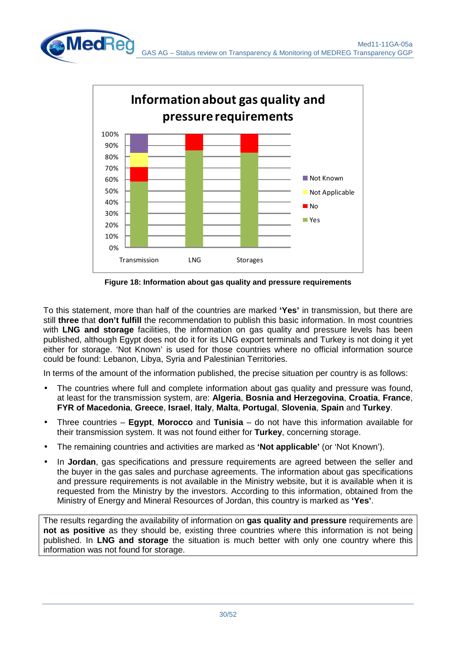![](_page_29_Figure_1.jpeg)

**Figure 18: Information about gas quality and pressure requirements** 

To this statement, more than half of the countries are marked **'Yes'** in transmission, but there are still **three** that **don't fulfill** the recommendation to publish this basic information. In most countries with **LNG and storage** facilities, the information on gas quality and pressure levels has been published, although Egypt does not do it for its LNG export terminals and Turkey is not doing it yet either for storage. 'Not Known' is used for those countries where no official information source could be found: Lebanon, Libya, Syria and Palestinian Territories.

In terms of the amount of the information published, the precise situation per country is as follows:

- The countries where full and complete information about gas quality and pressure was found, at least for the transmission system, are: **Algeria**, **Bosnia and Herzegovina**, **Croatia**, **France**, **FYR of Macedonia**, **Greece**, **Israel**, **Italy**, **Malta**, **Portugal**, **Slovenia**, **Spain** and **Turkey**.
- Three countries **Egypt**, **Morocco** and **Tunisia** do not have this information available for their transmission system. It was not found either for **Turkey**, concerning storage.
- The remaining countries and activities are marked as **'Not applicable'** (or 'Not Known').
- In **Jordan**, gas specifications and pressure requirements are agreed between the seller and the buyer in the gas sales and purchase agreements. The information about gas specifications and pressure requirements is not available in the Ministry website, but it is available when it is requested from the Ministry by the investors. According to this information, obtained from the Ministry of Energy and Mineral Resources of Jordan, this country is marked as **'Yes'**.

The results regarding the availability of information on **gas quality and pressure** requirements are **not as positive** as they should be, existing three countries where this information is not being published. In **LNG and storage** the situation is much better with only one country where this information was not found for storage.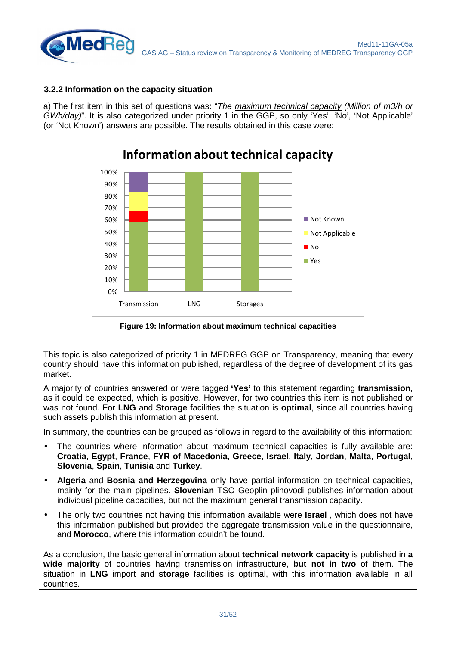![](_page_30_Picture_0.jpeg)

#### **3.2.2 Information on the capacity situation**

a) The first item in this set of questions was: "The maximum technical capacity (Million of m3/h or GWh/day)". It is also categorized under priority 1 in the GGP, so only 'Yes', 'No', 'Not Applicable' (or 'Not Known') answers are possible. The results obtained in this case were:

![](_page_30_Figure_3.jpeg)

**Figure 19: Information about maximum technical capacities** 

This topic is also categorized of priority 1 in MEDREG GGP on Transparency, meaning that every country should have this information published, regardless of the degree of development of its gas market.

A majority of countries answered or were tagged **'Yes'** to this statement regarding **transmission**, as it could be expected, which is positive. However, for two countries this item is not published or was not found. For **LNG** and **Storage** facilities the situation is **optimal**, since all countries having such assets publish this information at present.

In summary, the countries can be grouped as follows in regard to the availability of this information:

- The countries where information about maximum technical capacities is fully available are: **Croatia**, **Egypt**, **France**, **FYR of Macedonia**, **Greece**, **Israel**, **Italy**, **Jordan**, **Malta**, **Portugal**, **Slovenia**, **Spain**, **Tunisia** and **Turkey**.
- **Algeria** and **Bosnia and Herzegovina** only have partial information on technical capacities, mainly for the main pipelines. **Slovenian** TSO Geoplin plinovodi publishes information about individual pipeline capacities, but not the maximum general transmission capacity.
- The only two countries not having this information available were **Israel** , which does not have this information published but provided the aggregate transmission value in the questionnaire. and **Morocco**, where this information couldn't be found.

As a conclusion, the basic general information about **technical network capacity** is published in **a wide majority** of countries having transmission infrastructure, **but not in two** of them. The situation in **LNG** import and **storage** facilities is optimal, with this information available in all countries.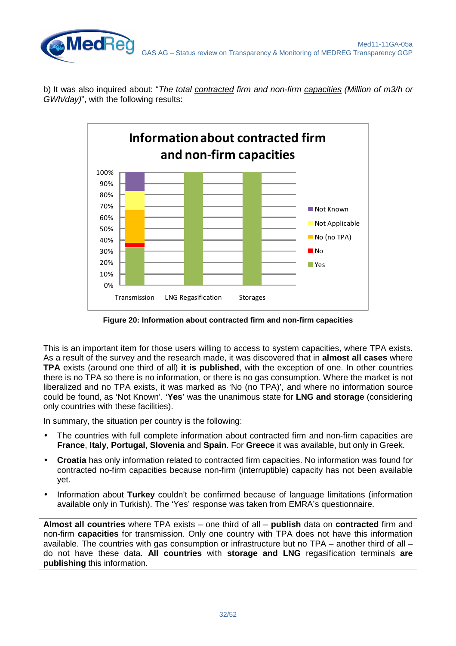b) It was also inquired about: "The total contracted firm and non-firm capacities (Million of m3/h or GWh/day)", with the following results:

![](_page_31_Figure_2.jpeg)

**Figure 20: Information about contracted firm and non-firm capacities** 

This is an important item for those users willing to access to system capacities, where TPA exists. As a result of the survey and the research made, it was discovered that in **almost all cases** where **TPA** exists (around one third of all) **it is published**, with the exception of one. In other countries there is no TPA so there is no information, or there is no gas consumption. Where the market is not liberalized and no TPA exists, it was marked as 'No (no TPA)', and where no information source could be found, as 'Not Known'. '**Yes**' was the unanimous state for **LNG and storage** (considering only countries with these facilities).

In summary, the situation per country is the following:

- The countries with full complete information about contracted firm and non-firm capacities are **France**, **Italy**, **Portugal**, **Slovenia** and **Spain**. For **Greece** it was available, but only in Greek.
- **Croatia** has only information related to contracted firm capacities. No information was found for contracted no-firm capacities because non-firm (interruptible) capacity has not been available yet.
- Information about **Turkey** couldn't be confirmed because of language limitations (information available only in Turkish). The 'Yes' response was taken from EMRA's questionnaire.

**Almost all countries** where TPA exists – one third of all – **publish** data on **contracted** firm and non-firm **capacities** for transmission. Only one country with TPA does not have this information available. The countries with gas consumption or infrastructure but no TPA – another third of all – do not have these data. **All countries** with **storage and LNG** regasification terminals **are publishing** this information.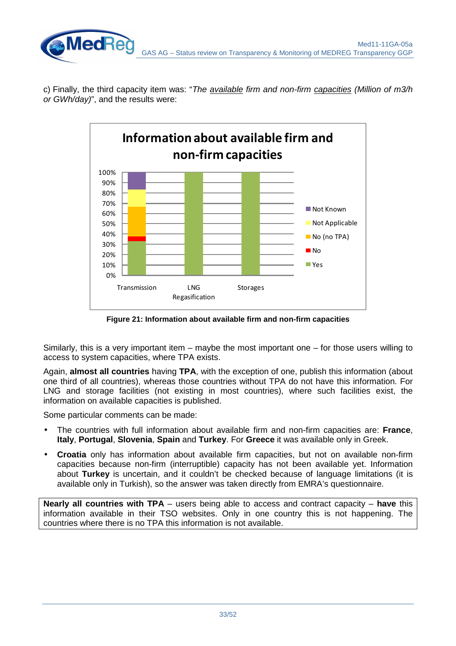![](_page_32_Picture_0.jpeg)

c) Finally, the third capacity item was: "The available firm and non-firm capacities (Million of  $m3/h$ or GWh/day)", and the results were:

![](_page_32_Figure_2.jpeg)

**Figure 21: Information about available firm and non-firm capacities** 

Similarly, this is a very important item – maybe the most important one – for those users willing to access to system capacities, where TPA exists.

Again, **almost all countries** having **TPA**, with the exception of one, publish this information (about one third of all countries), whereas those countries without TPA do not have this information. For LNG and storage facilities (not existing in most countries), where such facilities exist, the information on available capacities is published.

Some particular comments can be made:

- The countries with full information about available firm and non-firm capacities are: **France**, **Italy**, **Portugal**, **Slovenia**, **Spain** and **Turkey**. For **Greece** it was available only in Greek.
- **Croatia** only has information about available firm capacities, but not on available non-firm capacities because non-firm (interruptible) capacity has not been available yet. Information about **Turkey** is uncertain, and it couldn't be checked because of language limitations (it is available only in Turkish), so the answer was taken directly from EMRA's questionnaire.

**Nearly all countries with TPA** – users being able to access and contract capacity – **have** this information available in their TSO websites. Only in one country this is not happening. The countries where there is no TPA this information is not available.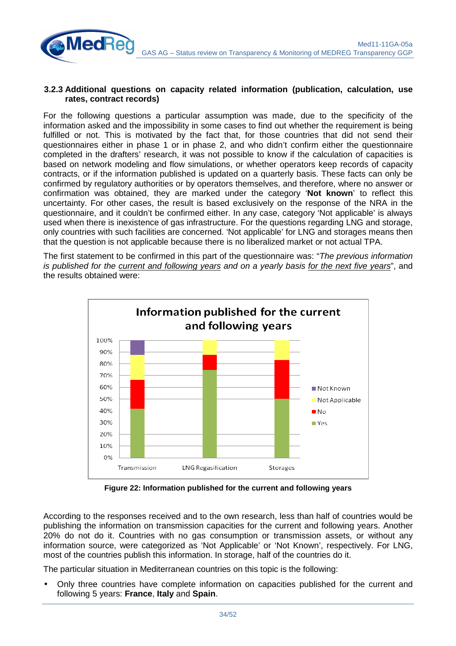#### **3.2.3 Additional questions on capacity related information (publication, calculation, use rates, contract records)**

**MedRe** 

For the following questions a particular assumption was made, due to the specificity of the information asked and the impossibility in some cases to find out whether the requirement is being fulfilled or not. This is motivated by the fact that, for those countries that did not send their questionnaires either in phase 1 or in phase 2, and who didn't confirm either the questionnaire completed in the drafters' research, it was not possible to know if the calculation of capacities is based on network modeling and flow simulations, or whether operators keep records of capacity contracts, or if the information published is updated on a quarterly basis. These facts can only be confirmed by regulatory authorities or by operators themselves, and therefore, where no answer or confirmation was obtained, they are marked under the category '**Not known**' to reflect this uncertainty. For other cases, the result is based exclusively on the response of the NRA in the questionnaire, and it couldn't be confirmed either. In any case, category 'Not applicable' is always used when there is inexistence of gas infrastructure. For the questions regarding LNG and storage, only countries with such facilities are concerned. 'Not applicable' for LNG and storages means then that the question is not applicable because there is no liberalized market or not actual TPA.

The first statement to be confirmed in this part of the questionnaire was: "The previous information is published for the current and following years and on a yearly basis for the next five years", and the results obtained were:

![](_page_33_Figure_4.jpeg)

**Figure 22: Information published for the current and following years** 

According to the responses received and to the own research, less than half of countries would be publishing the information on transmission capacities for the current and following years. Another 20% do not do it. Countries with no gas consumption or transmission assets, or without any information source, were categorized as 'Not Applicable' or 'Not Known', respectively. For LNG, most of the countries publish this information. In storage, half of the countries do it.

The particular situation in Mediterranean countries on this topic is the following:

• Only three countries have complete information on capacities published for the current and following 5 years: **France**, **Italy** and **Spain**.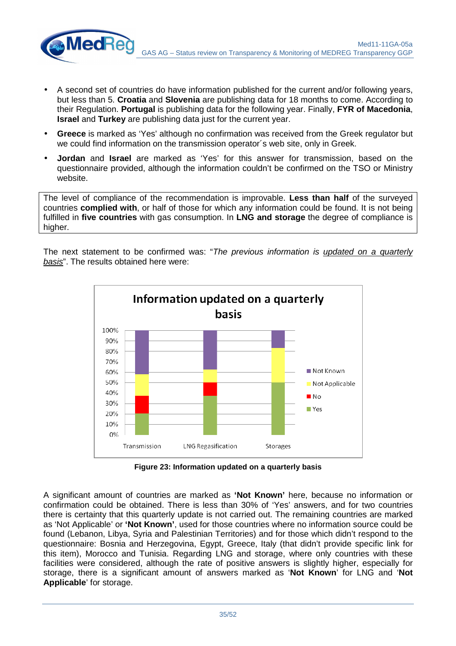![](_page_34_Picture_0.jpeg)

• A second set of countries do have information published for the current and/or following years, but less than 5. **Croatia** and **Slovenia** are publishing data for 18 months to come. According to their Regulation. **Portugal** is publishing data for the following year. Finally, **FYR of Macedonia**, **Israel** and **Turkey** are publishing data just for the current year.

**MedRe** 

- **Greece** is marked as 'Yes' although no confirmation was received from the Greek regulator but we could find information on the transmission operator´s web site, only in Greek.
- **Jordan** and **Israel** are marked as 'Yes' for this answer for transmission, based on the questionnaire provided, although the information couldn't be confirmed on the TSO or Ministry website.

The level of compliance of the recommendation is improvable. **Less than half** of the surveyed countries **complied with**, or half of those for which any information could be found. It is not being fulfilled in **five countries** with gas consumption. In **LNG and storage** the degree of compliance is higher.

The next statement to be confirmed was: "The previous information is updated on a quarterly basis". The results obtained here were:

![](_page_34_Figure_6.jpeg)

**Figure 23: Information updated on a quarterly basis**

A significant amount of countries are marked as **'Not Known'** here, because no information or confirmation could be obtained. There is less than 30% of 'Yes' answers, and for two countries there is certainty that this quarterly update is not carried out. The remaining countries are marked as 'Not Applicable' or **'Not Known'**, used for those countries where no information source could be found (Lebanon, Libya, Syria and Palestinian Territories) and for those which didn't respond to the questionnaire: Bosnia and Herzegovina, Egypt, Greece, Italy (that didn't provide specific link for this item), Morocco and Tunisia. Regarding LNG and storage, where only countries with these facilities were considered, although the rate of positive answers is slightly higher, especially for storage, there is a significant amount of answers marked as '**Not Known**' for LNG and '**Not Applicable**' for storage.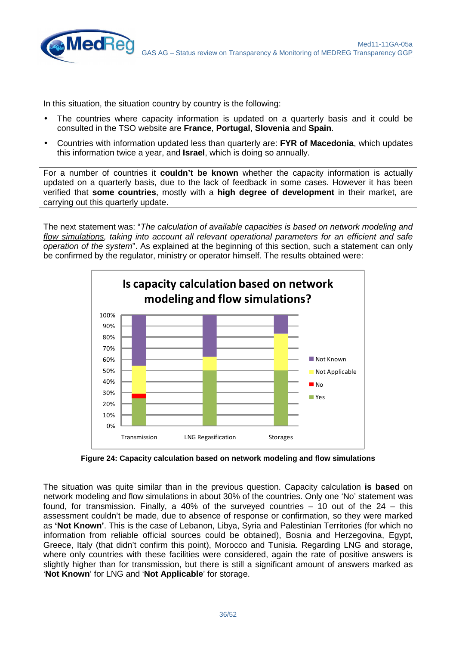![](_page_35_Picture_0.jpeg)

In this situation, the situation country by country is the following:

- The countries where capacity information is updated on a quarterly basis and it could be consulted in the TSO website are **France**, **Portugal**, **Slovenia** and **Spain**.
- Countries with information updated less than quarterly are: **FYR of Macedonia**, which updates this information twice a year, and **Israel**, which is doing so annually.

For a number of countries it **couldn't be known** whether the capacity information is actually updated on a quarterly basis, due to the lack of feedback in some cases. However it has been verified that **some countries**, mostly with a **high degree of development** in their market, are carrying out this quarterly update.

The next statement was: "The calculation of available capacities is based on network modeling and flow simulations, taking into account all relevant operational parameters for an efficient and safe operation of the system". As explained at the beginning of this section, such a statement can only be confirmed by the regulator, ministry or operator himself. The results obtained were:

![](_page_35_Figure_6.jpeg)

**Figure 24: Capacity calculation based on network modeling and flow simulations** 

The situation was quite similar than in the previous question. Capacity calculation **is based** on network modeling and flow simulations in about 30% of the countries. Only one 'No' statement was found, for transmission. Finally, a 40% of the surveyed countries  $-$  10 out of the 24 – this assessment couldn't be made, due to absence of response or confirmation, so they were marked as **'Not Known'**. This is the case of Lebanon, Libya, Syria and Palestinian Territories (for which no information from reliable official sources could be obtained), Bosnia and Herzegovina, Egypt, Greece, Italy (that didn't confirm this point), Morocco and Tunisia. Regarding LNG and storage, where only countries with these facilities were considered, again the rate of positive answers is slightly higher than for transmission, but there is still a significant amount of answers marked as '**Not Known**' for LNG and '**Not Applicable**' for storage.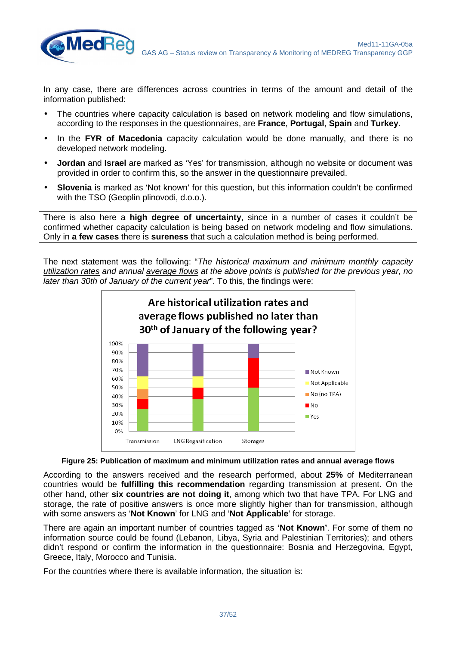In any case, there are differences across countries in terms of the amount and detail of the information published:

**MedRe** 

- The countries where capacity calculation is based on network modeling and flow simulations, according to the responses in the questionnaires, are **France**, **Portugal**, **Spain** and **Turkey**.
- In the **FYR of Macedonia** capacity calculation would be done manually, and there is no developed network modeling.
- **Jordan** and **Israel** are marked as 'Yes' for transmission, although no website or document was provided in order to confirm this, so the answer in the questionnaire prevailed.
- **Slovenia** is marked as 'Not known' for this question, but this information couldn't be confirmed with the TSO (Geoplin plinovodi, d.o.o.).

There is also here a **high degree of uncertainty**, since in a number of cases it couldn't be confirmed whether capacity calculation is being based on network modeling and flow simulations. Only in **a few cases** there is **sureness** that such a calculation method is being performed.

The next statement was the following: "The historical maximum and minimum monthly capacity utilization rates and annual average flows at the above points is published for the previous year, no later than 30th of January of the current year". To this, the findings were:

![](_page_36_Figure_8.jpeg)

**Figure 25: Publication of maximum and minimum utilization rates and annual average flows** 

According to the answers received and the research performed, about **25%** of Mediterranean countries would be **fulfilling this recommendation** regarding transmission at present. On the other hand, other **six countries are not doing it**, among which two that have TPA. For LNG and storage, the rate of positive answers is once more slightly higher than for transmission, although with some answers as '**Not Known**' for LNG and '**Not Applicable**' for storage.

There are again an important number of countries tagged as **'Not Known'**. For some of them no information source could be found (Lebanon, Libya, Syria and Palestinian Territories); and others didn't respond or confirm the information in the questionnaire: Bosnia and Herzegovina, Egypt, Greece, Italy, Morocco and Tunisia.

For the countries where there is available information, the situation is: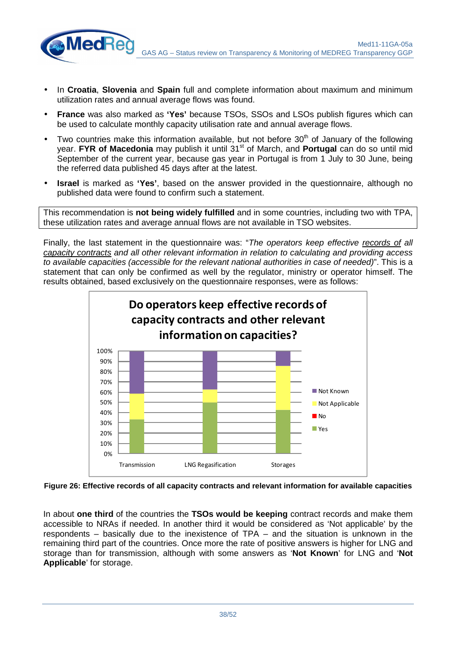Med11-11GA-05a GAS AG – Status review on Transparency & Monitoring of MEDREG Transparency GGP

• In **Croatia**, **Slovenia** and **Spain** full and complete information about maximum and minimum utilization rates and annual average flows was found.

**MedRe** 

- **France** was also marked as **'Yes'** because TSOs, SSOs and LSOs publish figures which can be used to calculate monthly capacity utilisation rate and annual average flows.
- Two countries make this information available, but not before  $30<sup>th</sup>$  of January of the following year. **FYR of Macedonia** may publish it until 31<sup>st</sup> of March, and **Portugal** can do so until mid September of the current year, because gas year in Portugal is from 1 July to 30 June, being the referred data published 45 days after at the latest.
- **Israel** is marked as **'Yes'**, based on the answer provided in the questionnaire, although no published data were found to confirm such a statement.

This recommendation is **not being widely fulfilled** and in some countries, including two with TPA, these utilization rates and average annual flows are not available in TSO websites.

Finally, the last statement in the questionnaire was: "The operators keep effective records of all capacity contracts and all other relevant information in relation to calculating and providing access to available capacities (accessible for the relevant national authorities in case of needed)". This is a statement that can only be confirmed as well by the regulator, ministry or operator himself. The results obtained, based exclusively on the questionnaire responses, were as follows:

![](_page_37_Figure_7.jpeg)

**Figure 26: Effective records of all capacity contracts and relevant information for available capacities** 

In about **one third** of the countries the **TSOs would be keeping** contract records and make them accessible to NRAs if needed. In another third it would be considered as 'Not applicable' by the respondents – basically due to the inexistence of TPA – and the situation is unknown in the remaining third part of the countries. Once more the rate of positive answers is higher for LNG and storage than for transmission, although with some answers as '**Not Known**' for LNG and '**Not Applicable**' for storage.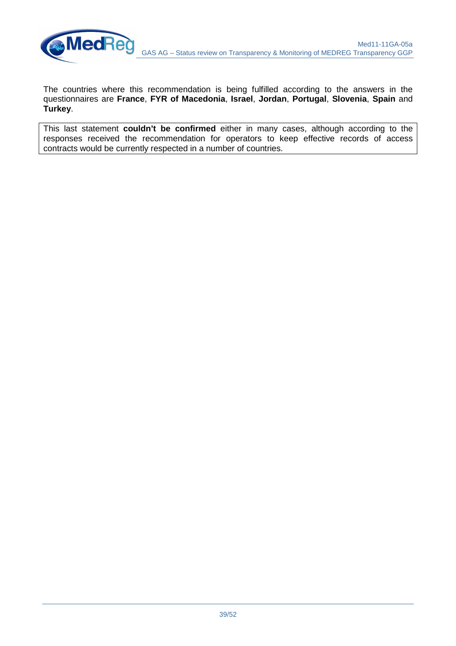![](_page_38_Picture_0.jpeg)

The countries where this recommendation is being fulfilled according to the answers in the questionnaires are **France**, **FYR of Macedonia**, **Israel**, **Jordan**, **Portugal**, **Slovenia**, **Spain** and **Turkey**.

This last statement **couldn't be confirmed** either in many cases, although according to the responses received the recommendation for operators to keep effective records of access contracts would be currently respected in a number of countries.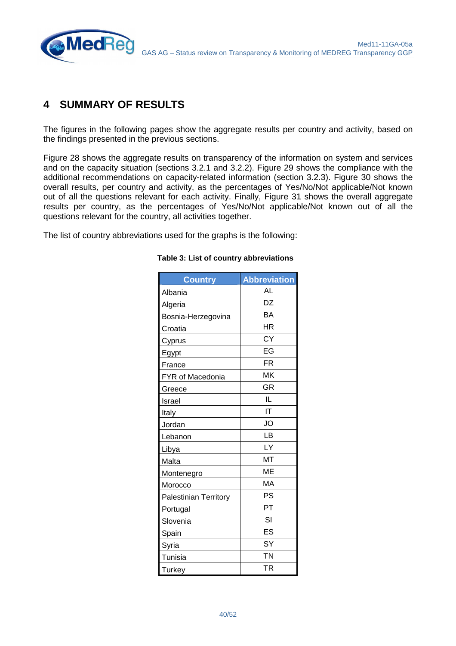![](_page_39_Picture_0.jpeg)

## **4 SUMMARY OF RESULTS**

The figures in the following pages show the aggregate results per country and activity, based on the findings presented in the previous sections.

Figure 28 shows the aggregate results on transparency of the information on system and services and on the capacity situation (sections 3.2.1 and 3.2.2). Figure 29 shows the compliance with the additional recommendations on capacity-related information (section 3.2.3). Figure 30 shows the overall results, per country and activity, as the percentages of Yes/No/Not applicable/Not known out of all the questions relevant for each activity. Finally, Figure 31 shows the overall aggregate results per country, as the percentages of Yes/No/Not applicable/Not known out of all the questions relevant for the country, all activities together.

The list of country abbreviations used for the graphs is the following:

| <b>Country</b>               | <b>Abbreviation</b> |
|------------------------------|---------------------|
| Albania                      | AL                  |
| Algeria                      | DZ                  |
| Bosnia-Herzegovina           | BA                  |
| Croatia                      | <b>HR</b>           |
| <u>Cyprus</u>                | <b>CY</b>           |
| Egypt                        | EG                  |
| France                       | <b>FR</b>           |
| <b>FYR of Macedonia</b>      | <b>MK</b>           |
| Greece                       | <b>GR</b>           |
| Israel                       | IL                  |
| Italy                        | IT                  |
| Jordan                       | <b>JO</b>           |
| Lebanon                      | LВ                  |
| Libya                        | LY                  |
| Malta                        | MT                  |
| Montenegro                   | ME                  |
| Morocco                      | MA                  |
| <b>Palestinian Territory</b> | PS                  |
| Portugal                     | PT                  |
| Slovenia                     | SI                  |
| Spain                        | ES                  |
| Syria                        | SY                  |
| Tunisia                      | <b>TN</b>           |
| Turkey                       | <b>TR</b>           |

#### **Table 3: List of country abbreviations**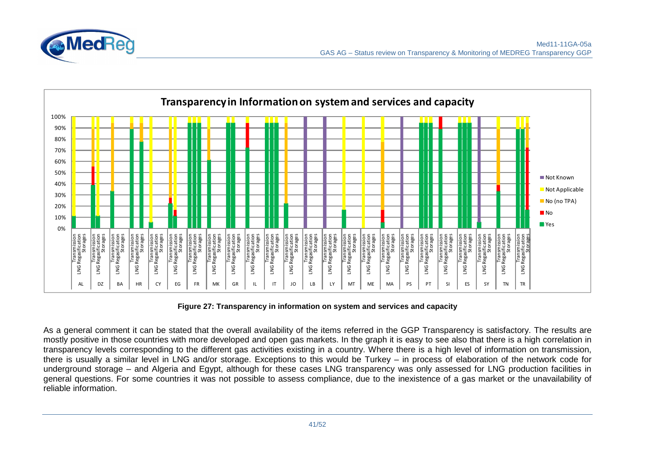![](_page_40_Picture_0.jpeg)

![](_page_40_Figure_2.jpeg)

**Figure 27: Transparency in information on system and services and capacity** 

As a general comment it can be stated that the overall availability of the items referred in the GGP Transparency is satisfactory. The results are mostly positive in those countries with more developed and open gas markets. In the graph it is easy to see also that there is a high correlation in transparency levels corresponding to the different gas activities existing in a country. Where there is a high level of information on transmission, there is usually a similar level in LNG and/or storage. Exceptions to this would be Turkey – in process of elaboration of the network code for underground storage – and Algeria and Egypt, although for these cases LNG transparency was only assessed for LNG production facilities in general questions. For some countries it was not possible to assess compliance, due to the inexistence of a gas market or the unavailability of reliable information.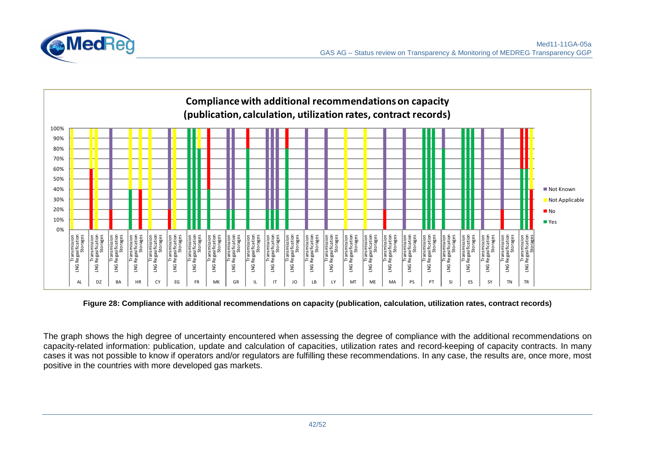![](_page_41_Picture_0.jpeg)

![](_page_41_Figure_2.jpeg)

**Figure 28: Compliance with additional recommendations on capacity (publication, calculation, utilization rates, contract records)** 

The graph shows the high degree of uncertainty encountered when assessing the degree of compliance with the additional recommendations on capacity-related information: publication, update and calculation of capacities, utilization rates and record-keeping of capacity contracts. In many cases it was not possible to know if operators and/or regulators are fulfilling these recommendations. In any case, the results are, once more, most positive in the countries with more developed gas markets.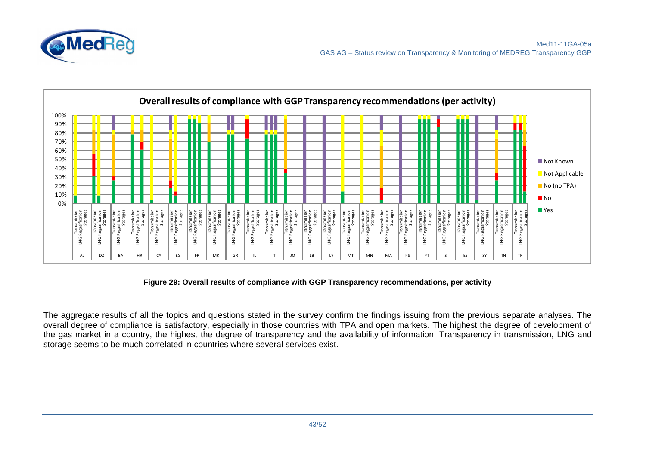![](_page_42_Picture_0.jpeg)

![](_page_42_Figure_2.jpeg)

**Figure 29: Overall results of compliance with GGP Transparency recommendations, per activity** 

The aggregate results of all the topics and questions stated in the survey confirm the findings issuing from the previous separate analyses. The overall degree of compliance is satisfactory, especially in those countries with TPA and open markets. The highest the degree of development of the gas market in a country, the highest the degree of transparency and the availability of information. Transparency in transmission, LNG and storage seems to be much correlated in countries where several services exist.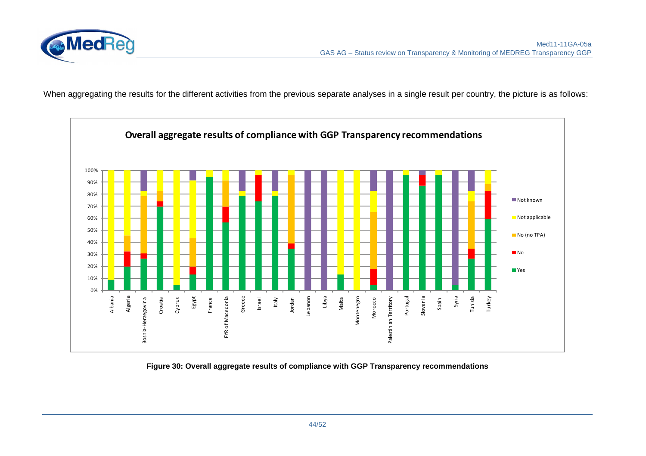![](_page_43_Picture_0.jpeg)

When aggregating the results for the different activities from the previous separate analyses in a single result per country, the picture is as follows:

![](_page_43_Figure_3.jpeg)

**Figure 30: Overall aggregate results of compliance with GGP Transparency recommendations**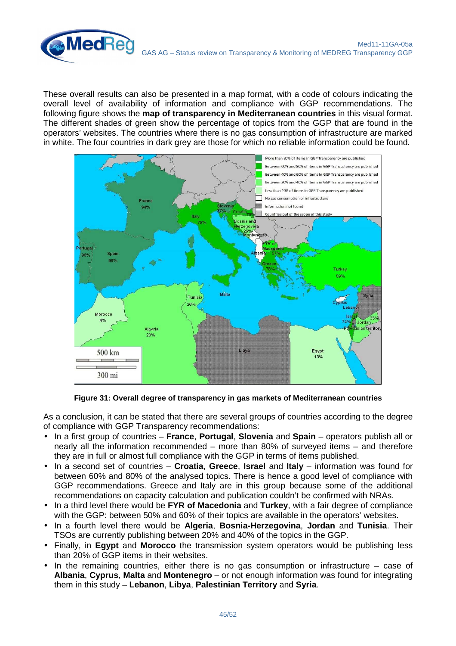These overall results can also be presented in a map format, with a code of colours indicating the overall level of availability of information and compliance with GGP recommendations. The following figure shows the **map of transparency in Mediterranean countries** in this visual format. The different shades of green show the percentage of topics from the GGP that are found in the operators' websites. The countries where there is no gas consumption of infrastructure are marked in white. The four countries in dark grey are those for which no reliable information could be found.

**MedRed** 

![](_page_44_Figure_2.jpeg)

**Figure 31: Overall degree of transparency in gas markets of Mediterranean countries** 

As a conclusion, it can be stated that there are several groups of countries according to the degree of compliance with GGP Transparency recommendations:

- In a first group of countries **France**, **Portugal**, **Slovenia** and **Spain** operators publish all or nearly all the information recommended – more than 80% of surveyed items – and therefore they are in full or almost full compliance with the GGP in terms of items published.
- In a second set of countries **Croatia**, **Greece**, **Israel** and **Italy** information was found for between 60% and 80% of the analysed topics. There is hence a good level of compliance with GGP recommendations. Greece and Italy are in this group because some of the additional recommendations on capacity calculation and publication couldn't be confirmed with NRAs.
- In a third level there would be **FYR of Macedonia** and **Turkey**, with a fair degree of compliance with the GGP: between 50% and 60% of their topics are available in the operators' websites.
- In a fourth level there would be **Algeria**, **Bosnia-Herzegovina**, **Jordan** and **Tunisia**. Their TSOs are currently publishing between 20% and 40% of the topics in the GGP.
- Finally, in **Egypt** and **Morocco** the transmission system operators would be publishing less than 20% of GGP items in their websites.
- In the remaining countries, either there is no gas consumption or infrastructure  $-$  case of **Albania**, **Cyprus**, **Malta** and **Montenegro** – or not enough information was found for integrating them in this study – **Lebanon**, **Libya**, **Palestinian Territory** and **Syria**.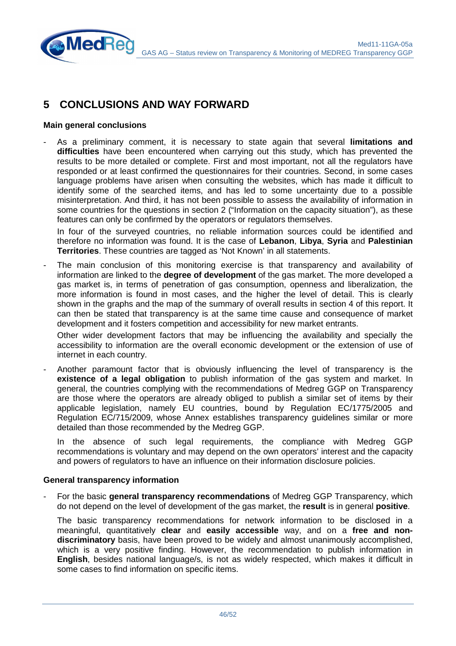## **5 CONCLUSIONS AND WAY FORWARD**

#### **Main general conclusions**

**MedRe** 

- As a preliminary comment, it is necessary to state again that several **limitations and difficulties** have been encountered when carrying out this study, which has prevented the results to be more detailed or complete. First and most important, not all the regulators have responded or at least confirmed the questionnaires for their countries. Second, in some cases language problems have arisen when consulting the websites, which has made it difficult to identify some of the searched items, and has led to some uncertainty due to a possible misinterpretation. And third, it has not been possible to assess the availability of information in some countries for the questions in section 2 ("Information on the capacity situation"), as these features can only be confirmed by the operators or regulators themselves.

In four of the surveyed countries, no reliable information sources could be identified and therefore no information was found. It is the case of **Lebanon**, **Libya**, **Syria** and **Palestinian Territories**. These countries are tagged as 'Not Known' in all statements.

The main conclusion of this monitoring exercise is that transparency and availability of information are linked to the **degree of development** of the gas market. The more developed a gas market is, in terms of penetration of gas consumption, openness and liberalization, the more information is found in most cases, and the higher the level of detail. This is clearly shown in the graphs and the map of the summary of overall results in section 4 of this report. It can then be stated that transparency is at the same time cause and consequence of market development and it fosters competition and accessibility for new market entrants.

Other wider development factors that may be influencing the availability and specially the accessibility to information are the overall economic development or the extension of use of internet in each country.

Another paramount factor that is obviously influencing the level of transparency is the **existence of a legal obligation** to publish information of the gas system and market. In general, the countries complying with the recommendations of Medreg GGP on Transparency are those where the operators are already obliged to publish a similar set of items by their applicable legislation, namely EU countries, bound by Regulation EC/1775/2005 and Regulation EC/715/2009, whose Annex establishes transparency guidelines similar or more detailed than those recommended by the Medreg GGP.

In the absence of such legal requirements, the compliance with Medreg GGP recommendations is voluntary and may depend on the own operators' interest and the capacity and powers of regulators to have an influence on their information disclosure policies.

#### **General transparency information**

- For the basic **general transparency recommendations** of Medreg GGP Transparency, which do not depend on the level of development of the gas market, the **result** is in general **positive**.

The basic transparency recommendations for network information to be disclosed in a meaningful, quantitatively **clear** and **easily accessible** way, and on a **free and nondiscriminatory** basis, have been proved to be widely and almost unanimously accomplished, which is a very positive finding. However, the recommendation to publish information in **English**, besides national language/s, is not as widely respected, which makes it difficult in some cases to find information on specific items.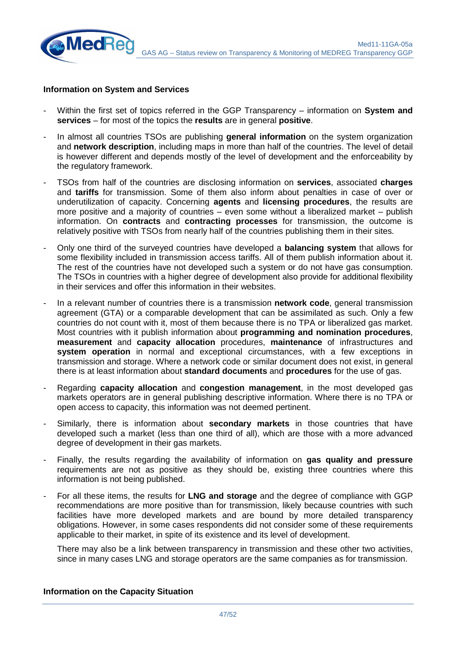![](_page_46_Picture_0.jpeg)

#### **Information on System and Services**

- Within the first set of topics referred in the GGP Transparency information on **System and services** – for most of the topics the **results** are in general **positive**.
- In almost all countries TSOs are publishing **general information** on the system organization and **network description**, including maps in more than half of the countries. The level of detail is however different and depends mostly of the level of development and the enforceability by the regulatory framework.
- TSOs from half of the countries are disclosing information on **services**, associated **charges** and **tariffs** for transmission. Some of them also inform about penalties in case of over or underutilization of capacity. Concerning **agents** and **licensing procedures**, the results are more positive and a majority of countries – even some without a liberalized market – publish information. On **contracts** and **contracting processes** for transmission, the outcome is relatively positive with TSOs from nearly half of the countries publishing them in their sites.
- Only one third of the surveyed countries have developed a **balancing system** that allows for some flexibility included in transmission access tariffs. All of them publish information about it. The rest of the countries have not developed such a system or do not have gas consumption. The TSOs in countries with a higher degree of development also provide for additional flexibility in their services and offer this information in their websites.
- In a relevant number of countries there is a transmission **network code**, general transmission agreement (GTA) or a comparable development that can be assimilated as such. Only a few countries do not count with it, most of them because there is no TPA or liberalized gas market. Most countries with it publish information about **programming and nomination procedures**, **measurement** and **capacity allocation** procedures, **maintenance** of infrastructures and **system operation** in normal and exceptional circumstances, with a few exceptions in transmission and storage. Where a network code or similar document does not exist, in general there is at least information about **standard documents** and **procedures** for the use of gas.
- Regarding **capacity allocation** and **congestion management**, in the most developed gas markets operators are in general publishing descriptive information. Where there is no TPA or open access to capacity, this information was not deemed pertinent.
- Similarly, there is information about **secondary markets** in those countries that have developed such a market (less than one third of all), which are those with a more advanced degree of development in their gas markets.
- Finally, the results regarding the availability of information on **gas quality and pressure** requirements are not as positive as they should be, existing three countries where this information is not being published.
- For all these items, the results for **LNG and storage** and the degree of compliance with GGP recommendations are more positive than for transmission, likely because countries with such facilities have more developed markets and are bound by more detailed transparency obligations. However, in some cases respondents did not consider some of these requirements applicable to their market, in spite of its existence and its level of development.

There may also be a link between transparency in transmission and these other two activities, since in many cases LNG and storage operators are the same companies as for transmission.

#### **Information on the Capacity Situation**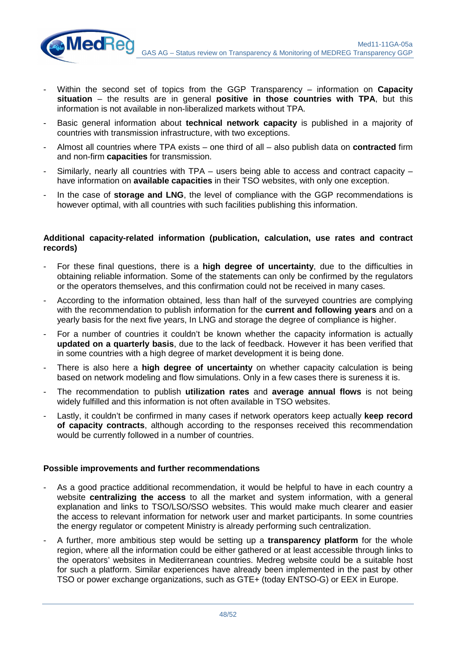- Within the second set of topics from the GGP Transparency information on **Capacity situation** – the results are in general **positive in those countries with TPA**, but this information is not available in non-liberalized markets without TPA.
- Basic general information about **technical network capacity** is published in a majority of countries with transmission infrastructure, with two exceptions.
- Almost all countries where TPA exists one third of all also publish data on **contracted** firm and non-firm **capacities** for transmission.
- Similarly, nearly all countries with TPA users being able to access and contract capacity have information on **available capacities** in their TSO websites, with only one exception.
- In the case of **storage and LNG**, the level of compliance with the GGP recommendations is however optimal, with all countries with such facilities publishing this information.

#### **Additional capacity-related information (publication, calculation, use rates and contract records)**

- For these final questions, there is a **high degree of uncertainty**, due to the difficulties in obtaining reliable information. Some of the statements can only be confirmed by the regulators or the operators themselves, and this confirmation could not be received in many cases.
- According to the information obtained, less than half of the surveyed countries are complying with the recommendation to publish information for the **current and following years** and on a yearly basis for the next five years, In LNG and storage the degree of compliance is higher.
- For a number of countries it couldn't be known whether the capacity information is actually **updated on a quarterly basis**, due to the lack of feedback. However it has been verified that in some countries with a high degree of market development it is being done.
- There is also here a **high degree of uncertainty** on whether capacity calculation is being based on network modeling and flow simulations. Only in a few cases there is sureness it is.
- The recommendation to publish **utilization rates** and **average annual flows** is not being widely fulfilled and this information is not often available in TSO websites.
- Lastly, it couldn't be confirmed in many cases if network operators keep actually **keep record of capacity contracts**, although according to the responses received this recommendation would be currently followed in a number of countries.

#### **Possible improvements and further recommendations**

**MedRe** 

- As a good practice additional recommendation, it would be helpful to have in each country a website **centralizing the access** to all the market and system information, with a general explanation and links to TSO/LSO/SSO websites. This would make much clearer and easier the access to relevant information for network user and market participants. In some countries the energy regulator or competent Ministry is already performing such centralization.
- A further, more ambitious step would be setting up a **transparency platform** for the whole region, where all the information could be either gathered or at least accessible through links to the operators' websites in Mediterranean countries. Medreg website could be a suitable host for such a platform. Similar experiences have already been implemented in the past by other TSO or power exchange organizations, such as GTE+ (today ENTSO-G) or EEX in Europe.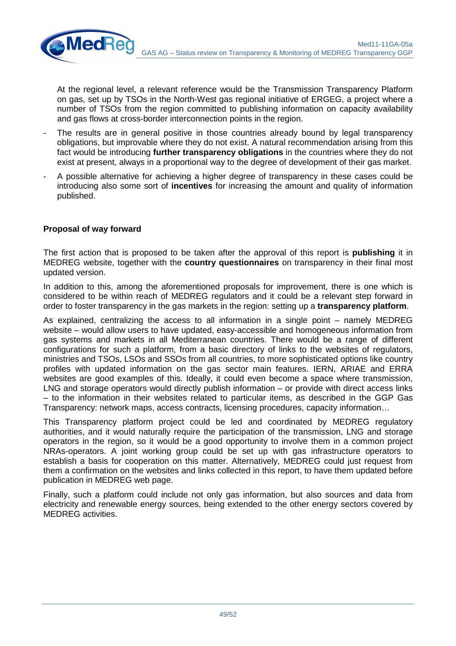At the regional level, a relevant reference would be the Transmission Transparency Platform on gas, set up by TSOs in the North-West gas regional initiative of ERGEG, a project where a number of TSOs from the region committed to publishing information on capacity availability and gas flows at cross-border interconnection points in the region.

- The results are in general positive in those countries already bound by legal transparency obligations, but improvable where they do not exist. A natural recommendation arising from this fact would be introducing **further transparency obligations** in the countries where they do not exist at present, always in a proportional way to the degree of development of their gas market.
- A possible alternative for achieving a higher degree of transparency in these cases could be introducing also some sort of **incentives** for increasing the amount and quality of information published.

#### **Proposal of way forward**

**MedRe** 

The first action that is proposed to be taken after the approval of this report is **publishing** it in MEDREG website, together with the **country questionnaires** on transparency in their final most updated version.

In addition to this, among the aforementioned proposals for improvement, there is one which is considered to be within reach of MEDREG regulators and it could be a relevant step forward in order to foster transparency in the gas markets in the region: setting up a **transparency platform**.

As explained, centralizing the access to all information in a single point – namely MEDREG website – would allow users to have updated, easy-accessible and homogeneous information from gas systems and markets in all Mediterranean countries. There would be a range of different configurations for such a platform, from a basic directory of links to the websites of regulators, ministries and TSOs, LSOs and SSOs from all countries, to more sophisticated options like country profiles with updated information on the gas sector main features. IERN, ARIAE and ERRA websites are good examples of this. Ideally, it could even become a space where transmission, LNG and storage operators would directly publish information – or provide with direct access links – to the information in their websites related to particular items, as described in the GGP Gas Transparency: network maps, access contracts, licensing procedures, capacity information…

This Transparency platform project could be led and coordinated by MEDREG regulatory authorities, and it would naturally require the participation of the transmission, LNG and storage operators in the region, so it would be a good opportunity to involve them in a common project NRAs-operators. A joint working group could be set up with gas infrastructure operators to establish a basis for cooperation on this matter. Alternatively, MEDREG could just request from them a confirmation on the websites and links collected in this report, to have them updated before publication in MEDREG web page.

Finally, such a platform could include not only gas information, but also sources and data from electricity and renewable energy sources, being extended to the other energy sectors covered by MEDREG activities.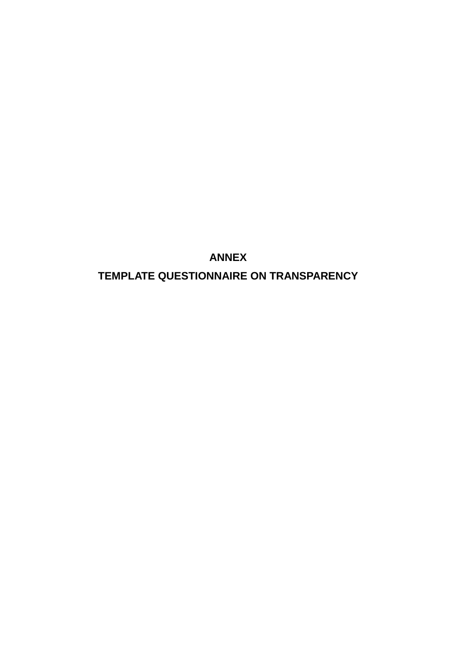**ANNEX TEMPLATE QUESTIONNAIRE ON TRANSPARENCY**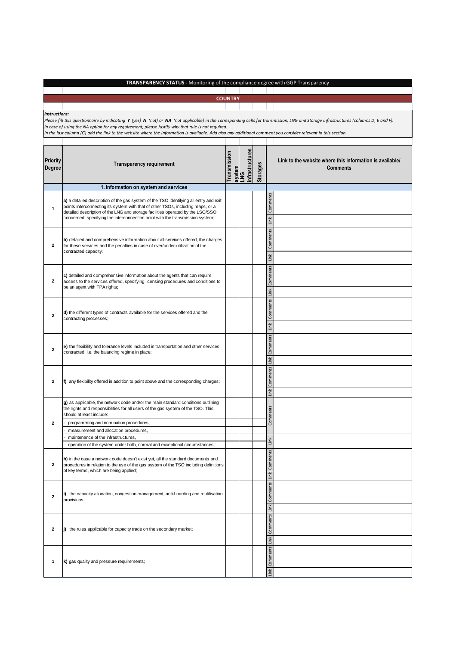#### **TRANSPARENCY STATUS -** Monitoring of the compliance degree with GGP Transparency **COUNTRY 1. Information on system and services** Comments Link Comments Link ents Link ents Link Comments Link Comments Link **g)** as applicable, the network code and/or the main standard conditions outlining the rights and responsibilities for all users of the gas system of the TSO. This should at least include: - programming and nomination procedures, measurement and allocation procedures maintenance of the infrastructures operation of the system under both, normal and exceptional circumstances; nts Link nts Link nts Link Comments *Instructions:*  Please fill this questionnaire by indicating Y (yes) N (not) or NA (not applicable) in the corresponding cells for transmission, LNG and Storage infrastructures (columns D, E and F). *In case of using the NA option for any requirement, please justify why that rule is not required. In the last column (G) add the link to the website where the information is available. Add also any additional comment you consider relevant in this section.*  **Priority Degree Transparency requirement Transmission system LNG infrastructures Storages Link to the website where this information is available/ Comments 1 a)** a detailed description of the gas system of the TSO identifying all entry and exit points interconnecting its system with that of other TSOs, including maps, or a detailed description of the LNG and storage facilities operated by the LSO/SSO concerned, specifying the interconnection point with the transmission system; **2 b)** detailed and comprehensive information about all services offered, the charges for these services and the penalties in case of over/under-utilization of the contracted capacity; **2 c)** detailed and comprehensive information about the agents that can require access to the services offered, specifying licensing procedures and conditions to be an agent with TPA rights; **2 d)** the different types of contracts available for the services offered and the contracting processes; **2 e)** the flexibility and tolerance levels included in transportation and other services contracted, i.e. the balancing regime in place; **2 f**) any flexibility offered in addition to point above and the corresponding charges; **2** Comments Link **2 h)** in the case a network code doesn't exist yet, all the standard documents and procedures in relation to the use of the gas system of the TSO including definitions of key terms, which are being applied; **2 i)** the capacity allocation, congestion management, anti-hoarding and reutilisation provisions; **2 j)** the rules applicable for capacity trade on the secondary market; **1 k)** gas quality and pressure requirements;

Link